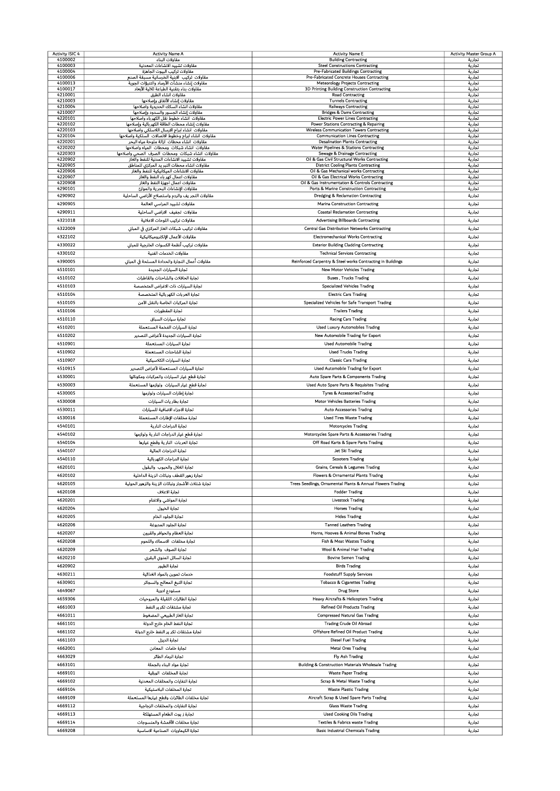| <b>Activity ISIC 4</b> | <b>Activity Name A</b>                                                                          | <b>Activity Name E</b>                                                                     | Activity Master Group A |
|------------------------|-------------------------------------------------------------------------------------------------|--------------------------------------------------------------------------------------------|-------------------------|
| 4100002                | مقاولات البناء                                                                                  | <b>Building Contracting</b>                                                                | تجارية                  |
| 4100003<br>4100004     | مقاولات تشييد الانشاءات المعدنية<br>مقاولات تركيب البيوت الجاهزة                                | <b>Steel Constructions Contracting</b><br><b>Pre-Fabricated Buildings Contracting</b>      | تجارية<br>تجارية        |
| 4100006                | مقاولات تركيب الابنية الخرسانية مسبقة الصنع                                                     | Pre-Fabricated Concrete Houses Contracting                                                 | تجارية                  |
| 4100013                | مقاولات إنشاء منشآت الأرصاد والتنبؤات الجوية                                                    | Meteorology Projects Contracting                                                           | تجارية                  |
| 4100017                | مقاولات بناء بتقنية الطباعة ثلاثية الأبعاد                                                      | 3D Printing Building Construction Contracting                                              | تجارية                  |
| 4210001<br>4210003     | مقاولات انشاء الطرق<br>مقاولات إنشاء الأنفاق وإصلاحها                                           | <b>Road Contracting</b><br><b>Tunnels Contracting</b>                                      | تجارية<br>تجارية        |
| 4210004                | مقاولات انشاء السكك الحديدية واصلاحها                                                           | <b>Railways Contracting</b>                                                                | تجارية                  |
| 4210007                | مقاولات إنشاء الجسور والسدود وإصلاحها                                                           | <b>Bridges &amp; Dams Contracting</b>                                                      | تجارية                  |
| 4220101                | مقاولات انشاء خطوط نقل الكهرباء واصلاحها                                                        | <b>Electric Power Lines Contracting</b>                                                    | تجارية                  |
| 4220102<br>4220103     | مقاولات إنشاء محطات الطاقة الكهربائية وإصلاحها<br>مقاولات انشاء ابراج الارسال اللاسلكي واصلاحها | Power Stations Contracting & Repairing<br><b>Wireless Communication Towers Contracting</b> | تجارية<br>تجارية        |
| 4220104                | مقاولات انشاء ابراج وخطوط الاتصالات السلكية واصلاحها                                            | <b>Communication Lines Contracting</b>                                                     | تجارية                  |
| 4220201                | مقاولات انشاء محطات ازالة ملوحة مياه البحر                                                      | <b>Desalination Plants Contracting</b>                                                     | تجارية                  |
| 4220202                | مقاولات انشاء شبكات ومحطات المياه واصلاحها                                                      | Water Pipelines & Stations Contracting                                                     | تجارية                  |
| 4220303                | مقاولات انشاء شبكات ومحطات الصرف الصحى واصلاحها                                                 | Sewage & Drainage Contracting                                                              | تجارية                  |
| 4220902<br>4220905     | مقاولات تشييد الانشاءات المدنية للنفط والغاز<br>مقاولات انشاء محطات التبر يد المركزي للمناطق    | Oil & Gas Civil Structural Works Contracting<br><b>District Cooling Plants Contracting</b> | تجارية<br>تجارية        |
| 4220906                | مقاولات الانشاءات الميكانيكية للنفط والغاز                                                      | Oil & Gas Mechanical works Contracting                                                     | تجارية                  |
| 4220907                | مقاولات اعمال كهر باء النفط والغاز                                                              | Oil & Gas Electrical Works Contracting                                                     | تجارية                  |
| 4220908                | مقاولات اعمال اجهزة النفط والغاز                                                                | Oil & Gas Instrumentation & Controls Contracting                                           | تجارية                  |
| 4290101                | مقاولات الإنشاءات البحرية والموانئ                                                              | Ports & Marine Construction Contracting                                                    | تجارية                  |
| 4290902                | مقاولات التجر يف والردم واستصلاح الأراضي الساحلية                                               | Dredging & Reclamation Contracting                                                         | تجارية                  |
| 4290905                | مقاولات تشييد المراسى العاثمة                                                                   | <b>Marina Construction Contracting</b>                                                     | تجارية                  |
| 4290911                | مقاولات تجفيف الاراضي الساحلية                                                                  | <b>Coastal Reclamation Contracting</b>                                                     | تجارية                  |
| 4321018                | مقاولات تركيب اللوحات الاعلانية                                                                 | <b>Advertising Billboards Contracting</b>                                                  | تجارية                  |
| 4322009                | مقاولات تركيب شبكات الغاز المركزي في المباني                                                    | <b>Central Gas Distribution Networks Contracting</b>                                       | تجارية                  |
| 4322102                | مقاولات الأعمال الإلكتروميكانيكية                                                               | <b>Electromechanical Works Contracting</b>                                                 | تجارية                  |
| 4330022                | مقاولات تركيب أنظمة الكسوات الخارجية للمباني                                                    | <b>Exterior Building Cladding Contracting</b>                                              | تجارية                  |
|                        |                                                                                                 |                                                                                            |                         |
| 4330102                | مقاولات الخدمات الفنية                                                                          | <b>Technical Services Contracting</b>                                                      | تجارية                  |
| 4390005                | مقاولات أعمال النجارة والحدادة المسلحة في المباني                                               | Reinforced Carpentry & Steel works Contracting in Buildings                                | تجارية                  |
| 4510101                | تجارة السيارات الجديدة                                                                          | New Motor Vehicles Trading                                                                 | تجارية                  |
| 4510102                | تجارة الحافلات والشاحنات والقاطرات                                                              | <b>Buses, Trucks Trading</b>                                                               | تجارية                  |
| 4510103                | تجارة السيارات ذات الاغراض المتخصصة                                                             | <b>Specialized Vehicles Trading</b>                                                        | تجارية                  |
| 4510104                | تجارة العربات الكهربائية المتخصصة                                                               | <b>Electric Cars Trading</b>                                                               | تجارية                  |
| 4510105                | تجارة المركبات الخاصة بالنقل الآمن                                                              | Specialized Vehicles for Safe Transport Trading                                            | تجارية                  |
| 4510106                |                                                                                                 | <b>Trailers Trading</b>                                                                    |                         |
|                        | تجارة المقطورات                                                                                 |                                                                                            | تجارية                  |
| 4510110                | تجارة سيارات السباق                                                                             | <b>Racing Cars Trading</b>                                                                 | تجارية                  |
| 4510201                | تجارة السيارات الفخمة المستعملة                                                                 | <b>Used Luxury Automobiles Trading</b>                                                     | تجارية                  |
| 4510202                | تجارة السيارات الجديدة لأغراض التصدير                                                           | New Automobile Trading for Export                                                          | تجارية                  |
| 4510901                | تجارة السيارات المستعملة                                                                        | <b>Used Automobile Trading</b>                                                             | تجارية                  |
| 4510902                | تجارة الشاحنات المستعملة                                                                        | <b>Used Trucks Trading</b>                                                                 | تجارية                  |
| 4510907                | تجارة السيارات الكلاسيكية                                                                       | <b>Classic Cars Trading</b>                                                                | تجارية                  |
|                        |                                                                                                 |                                                                                            |                         |
| 4510915                | تجارة السيارات المستعملة لأغراض التصدير                                                         | Used Automobile Trading for Export                                                         | تجارية                  |
| 4530001                | تجارة قطع غيار السيارات والمركبات ومكوناتها                                                     | Auto Spare Parts & Components Trading                                                      | تجارية                  |
| 4530003                | تجارة قطع غيار السيارات  ولوازمها المستعملة                                                     | Used Auto Spare Parts & Requisites Trading                                                 | تجارية                  |
| 4530005                | تجارة إطارات السيارات ولوازمها                                                                  | Tyres & AccessoriesTrading                                                                 | تجارية                  |
| 4530008                | تجارة بطار يات السيارات                                                                         | Motor Vehicles Batteries Trading                                                           | تجارية                  |
| 4530011                | تجارة الاجزاء الاضافية للسيارات                                                                 | <b>Auto Accessories Trading</b>                                                            | تجارية                  |
| 4530016                | تجارة مخلفات الإطارات المستعملة                                                                 | <b>Used Tires Waste Trading</b>                                                            | تجارية                  |
| 4540101                | تجارة الدراجات النارية                                                                          |                                                                                            |                         |
|                        |                                                                                                 | Motorcycles Trading                                                                        | تجارية                  |
| 4540102                | تجارة قطع غيار الدراجات النار ية ولوازمها                                                       | Motorcycles Spare Parts & Accessories Trading                                              | تجارية                  |
| 4540104                | تجارة العربات النارية وقطع غيارها                                                               | Off Road Karts & Spare Parts Trading                                                       | تجارية                  |
| 4540107                | تجارة الدراجات المائية                                                                          | Jet Ski Trading                                                                            | تجارية                  |
| 4540110                | تجارة الدراجات الكهربائية                                                                       | <b>Scooters Trading</b>                                                                    | تجارية                  |
| 4620101                | تجارة الغلال والحبوب والبقول                                                                    | Grains, Cereals & Legumes Trading                                                          | تجارية                  |
| 4620102                | تجارة زهور القطف ونباتات الزينة الداخلية                                                        | <b>Flowers &amp; Ornamental Plants Trading</b>                                             | تجارية                  |
| 4620105                | تجارة شتلات الأشجار ونباتات الزينة والزهور الحولية                                              | Trees Seedlings, Ornamental Plants & Annual Flowers Trading                                | تجارية                  |
| 4620108                | تجارة الاعلاف                                                                                   | <b>Fodder Trading</b>                                                                      |                         |
|                        |                                                                                                 |                                                                                            | تجارية                  |
| 4620201                | تجارة المواشي والاغنام                                                                          | <b>Livestock Trading</b>                                                                   | تجارية                  |
| 4620204                | تجارة الخيول                                                                                    | <b>Horses Trading</b>                                                                      | تجارية                  |
| 4620205                | تجارة الجلود الخام                                                                              | <b>Hides Trading</b>                                                                       | تجارية                  |
| 4620206                | تجارة الجلود المدبوغة                                                                           | <b>Tanned Leathers Trading</b>                                                             | تجارية                  |
| 4620207                | تجارة العظام والحوافر والقرون                                                                   | Horns, Hooves & Animal Bones Trading                                                       | تجارية                  |
| 4620208                | تجارة مخلفات الاسماك واللحوم                                                                    | Fish & Meat Wastes Trading                                                                 | تجارية                  |
| 4620209                | تجارة الصوف والشعر                                                                              | Wool & Animal Hair Trading                                                                 | تجارية                  |
| 4620210                | تجارة السائل المنوى البقرى                                                                      | <b>Bovine Semen Trading</b>                                                                |                         |
|                        |                                                                                                 |                                                                                            | تجارية                  |
| 4620902                | تجارة الطيور                                                                                    | <b>Birds Trading</b>                                                                       | تجارية                  |
| 4630211                | خدمات تموين بالمواد الغذائية                                                                    | <b>Foodstuff Supply Services</b>                                                           | تجارية                  |
| 4630901                | تجارة التبغ المعالج والسجائر                                                                    | <b>Tobacco &amp; Cigarettes Trading</b>                                                    | تجارية                  |
| 4649067                | مستودع ادوية                                                                                    | <b>Drug Store</b>                                                                          | تجارية                  |
| 4659306                | تجارة الطائرات الثقيلة والمروحيات                                                               | Heavy Aircrafts & Helicopters Trading                                                      | تجارية                  |
| 4661003                | تجارة مشتقات تكرير النفط                                                                        | <b>Refined Oil Products Trading</b>                                                        | تجارية                  |
| 4661011                | تجارة الغاز الطبيعي المضغوط                                                                     | <b>Compressed Natural Gas Trading</b>                                                      | تجارية                  |
|                        |                                                                                                 |                                                                                            |                         |
| 4661101                | تجارة النفط الخام خارج الدولة                                                                   | <b>Trading Crude Oil Abroad</b>                                                            | تجارية                  |
| 4661102                | تجارة مشتقات تكر ير النفط خارج الدولة                                                           | Offshore Refined Oil Product Trading                                                       | تجارية                  |
| 4661103                | تجارة الدرزل                                                                                    | <b>Diesel Fuel Trading</b>                                                                 | تجارية                  |
| 4662001                | تجارة خامات المعادن                                                                             | <b>Metal Ores Trading</b>                                                                  | تجارية                  |
| 4663029                | تجارة الرماد الطائر                                                                             | Fly Ash Trading                                                                            | تجارية                  |
| 4663101                | تجارة مواد البناء بالجملة                                                                       | Building & Construction Materials Wholesale Trading                                        | تجارية                  |
| 4669101                | تجارة المخلفات الورقية                                                                          | <b>Waste Paper Trading</b>                                                                 | تجارية                  |
|                        |                                                                                                 |                                                                                            |                         |
| 4669102                | تجارة النفايات والمخلفات المعدنية                                                               | <b>Scrap &amp; Metal Waste Trading</b>                                                     | تجارية                  |
| 4669104                | تجارة المخلفات البلاستيكية                                                                      | <b>Waste Plastic Trading</b>                                                               | تجارية                  |
| 4669109                | تجارة مخلفات الطائرات وقطع غيارها المستعملة                                                     | Aircraft Scrap & Used Spare Parts Trading                                                  | تجارية                  |
| 4669112                | تجارة النفايات والمخلفات الزجاجية                                                               | <b>Glass Waste Trading</b>                                                                 | تجارية                  |
| 4669113                | تجارة ز يوت الطعام المستهلكة                                                                    | <b>Used Cooking Oils Trading</b>                                                           | تجارية                  |
| 4669114                | تجارة مخلفات الأقمشة والمنسوجات                                                                 | <b>Textiles &amp; Fabrics waste Trading</b>                                                | تجارية                  |
| 4669208                | تجارة الكيماويات الصناعية الاساسية                                                              | <b>Basic Industrial Chemicals Trading</b>                                                  | تجارية                  |
|                        |                                                                                                 |                                                                                            |                         |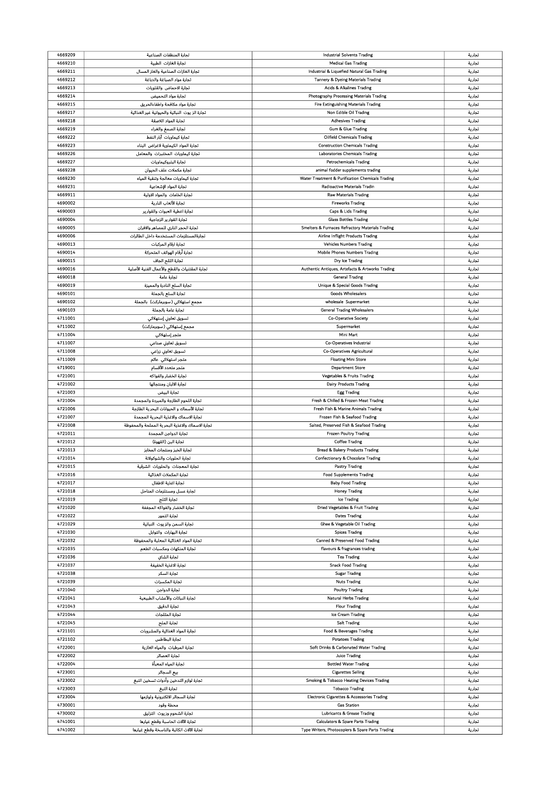| 4669209 | تجارة المنظفات الصناعية                          | <b>Industrial Solvents Trading</b>                          | تجارية |
|---------|--------------------------------------------------|-------------------------------------------------------------|--------|
|         |                                                  |                                                             |        |
| 4669210 | تجارة الغازات الطبية                             | <b>Medical Gas Trading</b>                                  | تجارية |
| 4669211 | تجارة الغازات الصناعية والغاز المسال             | Industrial & Liquefied Natural Gas Trading                  | تجارية |
| 4669212 | تجارة مواد الصباغة والدباغة                      | Tannery & Dyeing Materials Trading                          | تجارية |
|         |                                                  |                                                             |        |
| 4669213 | تجارة الاحماض والقلويات                          | Acids & Alkalines Trading                                   | تجارية |
| 4669214 | تجارة مواد التحميض                               | Photography Processing Materials Trading                    | تجارية |
| 4669215 | تجارة مواد مكافحة واطفاءالحريق                   | <b>Fire Extinguishing Materials Trading</b>                 | تجارية |
|         |                                                  |                                                             |        |
| 4669217 | تجارة الز يوت النباتية والحيوانية غير الغذائية   | Non Edible Oil Trading                                      | تجارية |
| 4669218 | تجارة المواد اللاصقة                             | <b>Adhesives Trading</b>                                    | تجارية |
| 4669219 | تجاره الصمغ والغراء                              | Gum & Glue Trading                                          | تجارية |
|         |                                                  |                                                             |        |
| 4669222 | تجارة كيماويات آبار النفط                        | <b>Oilfield Chemicals Trading</b>                           | تجارية |
| 4669223 | تجارة المواد الكيماوية لاغراض البناء             | <b>Construction Chemicals Trading</b>                       | تجارية |
| 4669226 |                                                  | Laboratories Chemicals Trading                              |        |
|         | تجارة كيماويات المختبرات والمعامل                |                                                             | تجارية |
| 4669227 | تجارة البتروكيماويات                             | <b>Petrochemicals Trading</b>                               | تجارية |
| 4669228 | تجارة مكملات علف الحيوان                         | animal fodder supplements trading                           | تجارية |
| 4669230 |                                                  |                                                             |        |
|         | تجارة كيماويات معالجة وتنقية المياه              | Water Treatment & Purification Chemicals Trading            | تجارية |
| 4669231 | تجارة المواد الإشعاعية                           | Radioactive Materials Tradin                                | تجارية |
| 4669911 | تجارة الخامات والمواد الاولية                    | <b>Raw Materials Trading</b>                                | تجارية |
|         |                                                  |                                                             |        |
| 4690002 | تجارة الألعاب النارية                            | <b>Fireworks Trading</b>                                    | تجارية |
| 4690003 | تجارة اغطية العبوات والقوارير                    | Caps & Lids Trading                                         | تجارية |
| 4690004 | تجارة القوارير الزجاجية                          | <b>Glass Bottles Trading</b>                                | تجارية |
|         |                                                  |                                                             |        |
| 4690005 | تجارة الحجر الناري للمصاهر والافران              | <b>Smelters &amp; Furnaces Refractory Materials Trading</b> | تجارية |
| 4690006 | تجارةالمستلزمات المستخدمة داخل الطائرات          | Airline Inflight Products Trading                           | تجارية |
| 4690013 | تجارة ارقام المركبات                             |                                                             |        |
|         |                                                  | <b>Vehicles Numbers Trading</b>                             | تجارية |
| 4690014 | تجارة أرقام الهوانف المتحركة                     | Mobile Phones Numbers Trading                               | تجارية |
| 4690015 | تجارة الثلج الجاف                                | Dry Ice Trading                                             | تجارية |
|         |                                                  |                                                             |        |
| 4690016 | تجارة المقتنيات والقطع والأعمال الفنية الأصلية   | Authentic Antiques, Artefacts & Artworks Trading            | تجارية |
| 4690018 | تجارة عامة                                       | <b>General Trading</b>                                      | تجارية |
| 4690019 | تجارة السلع النادرة والمميزة                     | Unique & Special Goods Trading                              | تجارية |
|         |                                                  |                                                             |        |
| 4690101 | تجارة السلع بالجملة                              | <b>Goods Wholesalers</b>                                    | تجارية |
| 4690102 | مجمع استهلاكي (سوبرماركت)  بالجملة               | wholesale Supermarket                                       | تجارية |
| 4690103 | تجارة عامة بالجملة                               | <b>General Trading Wholesalers</b>                          | تجارية |
|         |                                                  |                                                             |        |
| 4711001 | تسويق تعاوني إستهلاكي                            | Co-Operative Society                                        | تجارية |
| 4711002 | مجمع إستهلاكي ( سوبرماركت)                       | Supermarket                                                 | تجارية |
| 4711004 |                                                  |                                                             |        |
|         | متجر إستهلاكي                                    | Mini Mart                                                   | تجارية |
| 4711007 | تسويق تعاوني صناعي                               | Co-Operatives Industrial                                    | تجارية |
| 4711008 | تسويق تعاوني زراعي                               | Co-Operatives Agricultural                                  | تجارية |
|         |                                                  |                                                             |        |
| 4711009 | متجر استهلاكي عاثم                               | <b>Floating Mini Store</b>                                  | تجارية |
| 4719001 | متجر متعدد الأقسام                               | <b>Department Store</b>                                     | تجارية |
| 4721001 | تجارة الخضار والفواكه                            | <b>Vegetables &amp; Fruits Trading</b>                      | تجاربة |
|         |                                                  |                                                             |        |
| 4721002 | تجارة الالبان ومنتجاتها                          | <b>Dairy Products Trading</b>                               | تجارية |
| 4721003 | تجارة البيض                                      | <b>Egg Trading</b>                                          | تجارية |
|         |                                                  |                                                             |        |
|         |                                                  |                                                             |        |
| 4721004 | تجارة اللحوم الطازجة والمبردة والمجمدة           | Fresh & Chilled & Frozen Meat Trading                       | تجارية |
| 4721006 | تجارة الأسماك و الحيوانات البحرية الطازجة        | Fresh Fish & Marine Animals Trading                         | تجارية |
|         |                                                  |                                                             |        |
| 4721007 | تجارة الاسماك والاغذية البحرية المجمدة           | Frozen Fish & Seafood Trading                               | تجارية |
| 4721008 | تجارة الاسماك والاغذية البحرية المملحة والمحفوظة | Salted, Preserved Fish & Seafood Trading                    | تجارية |
| 4721011 | تجارة الدواجن المجمدة                            | <b>Frozen Poultry Trading</b>                               | تجارية |
| 4721012 |                                                  | <b>Coffee Trading</b>                                       |        |
|         | تجارة البن (القهوة)                              |                                                             | تجارية |
| 4721013 | تجارة الخبز ومنتجات المخابز                      | Bread & Bakery Products Trading                             | تجارية |
| 4721014 | تجارة الحلويات والشوكولانة                       | Confectionary & Chocolate Trading                           | تجارية |
|         |                                                  |                                                             |        |
| 4721015 | تجارة المعجنات والحلويات الشرقية                 | <b>Pastry Trading</b>                                       | تجارية |
| 4721016 | تجارة المكملات الغذائية                          | <b>Food Supplements Trading</b>                             | تجارية |
| 4721017 | تجارة اغذية الاطفال                              | <b>Baby Food Trading</b>                                    | تجارية |
| 4721018 | تجارة عسل ومستلزمات المناحل                      | <b>Honey Trading</b>                                        | تجارية |
|         |                                                  |                                                             |        |
| 4721019 | تجارة الثلج                                      | Ice Trading                                                 | تجارية |
| 4721020 | تجارة الخضار والفواكه المجففة                    | Dried Vegetables & Fruit Trading                            | تجارية |
|         |                                                  |                                                             |        |
| 4721022 | تجارة التمور                                     | <b>Dates Trading</b>                                        | تجارية |
| 4721029 | تجارة السمن والزيوت النباتية                     | Ghee & Vegetable Oil Trading                                | تجارية |
| 4721030 | تجارة البهارات والتوابل                          | <b>Spices Trading</b>                                       | تجارية |
| 4721032 | تجارة المواد الغذائية المعلبة والمحفوظة          | Canned & Preserved Food Trading                             | تجارية |
|         |                                                  |                                                             |        |
| 4721035 | تجارة المنكهات ومكسبات الطعم                     | flavours & fragrances trading                               | تجارية |
| 4721036 | تجارة الشاي                                      | <b>Tea Trading</b>                                          | تجارية |
| 4721037 | تجارة الاغذية الخفيفة                            | <b>Snack Food Trading</b>                                   | تجارية |
|         |                                                  |                                                             |        |
| 4721038 | تجارة السكر                                      | <b>Sugar Trading</b>                                        | تجارية |
| 4721039 | تجارة المكسرات                                   | <b>Nuts Trading</b>                                         | تجارية |
| 4721040 | تجارة الدواجن                                    | <b>Poultry Trading</b>                                      |        |
|         |                                                  |                                                             | تجارية |
| 4721041 | تجارة النباتات والأعشاب الطبيعية                 | Natural Herbs Trading                                       | تجارية |
| 4721043 | تجارة الدقيق                                     | <b>Flour Trading</b>                                        | تجارية |
|         |                                                  |                                                             |        |
| 4721044 | تجارة المثلجات                                   | Ice Cream Trading                                           | تجارية |
| 4721045 | تجارة الملح                                      | <b>Salt Trading</b>                                         | تجارية |
| 4721101 | تجارة المواد الغذائية والمشروبات                 | Food & Beverages Trading                                    | تجارية |
|         |                                                  |                                                             |        |
| 4721102 | تجارة البطاطس                                    | <b>Potatoes Trading</b>                                     | تجارية |
| 4722001 | تجارة المرطبات والمياه الغازية                   | Soft Drinks & Carbonated Water Trading                      | تجارية |
| 4722002 | تجارة العصائر                                    | <b>Juice Trading</b>                                        | تجارية |
|         |                                                  |                                                             |        |
| 4722004 | تجارة المياه المعبأة                             | <b>Bottled Water Trading</b>                                | تجارية |
| 4723001 | بيع السجائر                                      | <b>Cigarettes Selling</b>                                   | تجارية |
| 4723002 |                                                  | Smoking & Tobacco Heating Devices Trading                   | تجارية |
|         | تجارة لوازم التدخين وأدوات تسخين التبغ           |                                                             |        |
| 4723003 | تحارة التبغ                                      | <b>Tobacco Trading</b>                                      | تجارية |
| 4723004 | تجارة السجائر الالكترونية ولوازمها               | Electronic Cigarettes & Accessories Trading                 | تجارية |
|         |                                                  | <b>Gas Station</b>                                          |        |
| 4730001 | محطة وقود                                        |                                                             | تجارية |
| 4730002 | تجارة الشحوم وزيوت التزليق                       | Lubricants & Grease Trading                                 | تجارية |
| 4741001 | تجارة الآلات الحاسبة وقطع غيارها                 | <b>Calculators &amp; Spare Parts Trading</b>                | تجارية |
| 4741002 | تجارة الآلات الكاتبة والناسخة وقطع عيارها        | Type Writers, Photocopiers & Spare Parts Trading            | تجارية |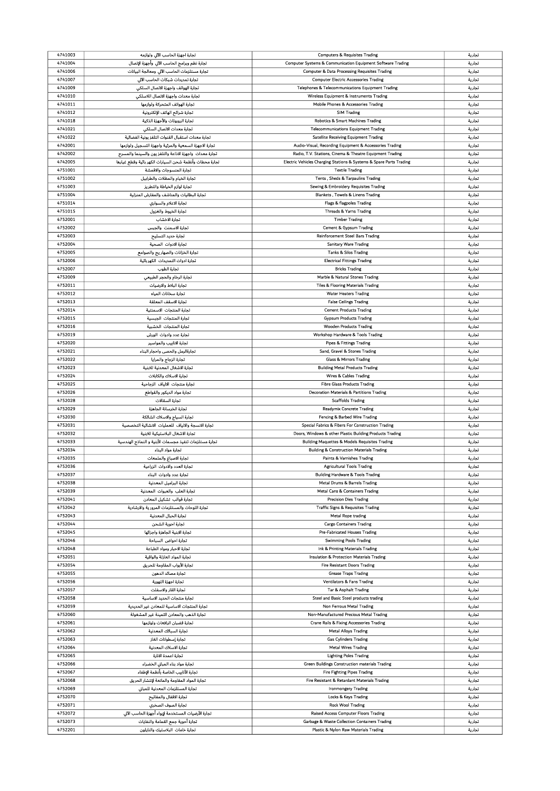| 4741003 | .<br>تجارة اجهزة الحاسب الآلي ولوازمه                    | <b>Computers &amp; Requisites Trading</b>                           | تجارية |
|---------|----------------------------------------------------------|---------------------------------------------------------------------|--------|
| 4741004 | تجارة نظم وبرامج الحاسب الآلي وأجهزة الإتصال             | Computer Systems & Communication Equipment Software Trading         | تجارية |
|         |                                                          |                                                                     |        |
| 4741006 | تجارة مستلزمات الحاسب الآلى ومعالجة البيانات             | <b>Computer &amp; Data Processing Requisites Trading</b>            | تجارية |
| 4741007 | تجارة تمديدات شبكات الحاسب الآلى                         | <b>Computer Electric Accessories Trading</b>                        | تجارية |
| 4741009 | تجارة الهواتف واجهزة الاتصال السلكى                      | Telephones & Telecommunications Equipment Trading                   | تجارية |
|         |                                                          |                                                                     |        |
| 4741010 | تجارة معدات واجهزة الاتصال اللاسلكي                      | Wireless Equipment & Instruments Trading                            | تجارية |
| 4741011 | تجارة الهواتف المتحركة ولوازمها                          | Mobile Phones & Accessories Trading                                 | تجارية |
| 4741012 | تجارة شرائح الهاتف الإلكترونية                           | <b>SIM Trading</b>                                                  | تجارية |
|         |                                                          |                                                                     |        |
| 4741018 | تجارة الروبوتات والأجهزة الذكية                          | Robotics & Smart Machines Trading                                   | تجارية |
| 4741021 | تجارة معدات الاتصال السلكي                               | <b>Telecommunications Equipment Trading</b>                         | تجارية |
| 4741022 | تجارة معدات استقبال القنوات التلفز يونية الفضائية        | Satellite Receiving Equipment Trading                               | تجارية |
|         |                                                          |                                                                     |        |
| 4742001 | تجارة الاجهزة السمعية والمرثية واجهزة التسجيل ولوازمها   | Audio-Visual, Recording Equipment & Accessories Trading             | تجارية |
| 4742002 | تجارة معدات  واجهزة الاذاعة والتلفز يون والسينما والمسرح | Radio, T.V. Stations, Cinema & Theatre Equipment Trading            | تجارية |
| 4742005 | تجارة محطات وأنظمة شحن السيارات الكهر باثية وقطع غيارها  | Electric Vehicles Charging Stations & Systems & Spare Parts Trading | تجارية |
|         |                                                          |                                                                     |        |
| 4751001 | تجارة المنسوجات والاقمشة                                 | <b>Textile Trading</b>                                              | تجارية |
| 4751002 | تجارة الخيام والمظلات والطرابيل                          | Tents, Sheds & Tarpaulins Trading                                   | تجارية |
| 4751003 | تجارة لوازم الخياطة والتطريز                             | Sewing & Embroidery Requisites Trading                              | تجارية |
| 4751004 |                                                          |                                                                     |        |
|         | تجارة البطانيات والمناشف والمفارش المنزلية               | Blankets, Towels & Linens Trading                                   | تجارية |
| 4751014 | تجارة الاعلام والسواري                                   | Flags & flagpoles Trading                                           | تجارية |
| 4751015 | تجارة الخيوط والغزول                                     | Threads & Yarns Trading                                             | تجارية |
| 4752001 |                                                          |                                                                     |        |
|         | تجارة الاخشاب                                            | <b>Timber Trading</b>                                               | تجارية |
| 4752002 | تجارة الاسمنت والجبس                                     | Cement & Gypsum Trading                                             | تجارية |
| 4752003 | تجارة حديد التسليح                                       | <b>Reinforcement Steel Bars Trading</b>                             | تجارية |
|         |                                                          |                                                                     |        |
| 4752004 | تجارة الادوات الصحية                                     | Sanitary Ware Trading                                               | تجارية |
| 4752005 | تجارة الخزانات والصهار يج والصوامع                       | Tanks & Silos Trading                                               | تجارية |
| 4752006 | تجارة ادوات التمديدات الكهربائية                         | <b>Electrical Fittings Trading</b>                                  | تجارية |
| 4752007 | تجارة الطوب                                              |                                                                     | تجارية |
|         |                                                          | <b>Bricks Trading</b>                                               |        |
| 4752009 | تجارة الرخام والحجر الطبيعي                              | Marble & Natural Stones Trading                                     | تجارية |
| 4752011 | تجارة البلاط والارضيات                                   | <b>Tiles &amp; Flooring Materials Trading</b>                       | تجارية |
| 4752012 |                                                          |                                                                     |        |
|         | تجارة سخانات المياه                                      | <b>Water Heaters Trading</b>                                        | تجارية |
| 4752013 | تجارة الاسقف المعلقة                                     | <b>False Ceilings Trading</b>                                       | تجارية |
| 4752014 | تجارة المنتجات الاسمنتية                                 | <b>Cement Products Trading</b>                                      | تجاربة |
| 4752015 | تجارة المنتجات الجبسية                                   | <b>Gypsum Products Trading</b>                                      |        |
|         |                                                          |                                                                     | تجارية |
| 4752016 | تجارة المنتجات الخشبية                                   | <b>Wooden Products Trading</b>                                      | تجارية |
| 4752019 | تجارة عدد وادوات الورش                                   | Workshop Hardware & Tools Trading                                   | تجارية |
|         |                                                          |                                                                     |        |
| 4752020 | تجارة الانابيب والمواسير                                 | <b>Pipes &amp; Fittings Trading</b>                                 | تجارية |
| 4752021 | تجارةالرمل والحصى واحجار البناء                          | Sand, Gravel & Stones Trading                                       | تجارية |
| 4752022 | تجارة الزجاج والمرايا                                    | <b>Glass &amp; Mirrors Trading</b>                                  | تجارية |
|         |                                                          |                                                                     |        |
| 4752023 | تجارة الاشغال المعدنية للابنية                           | <b>Building Metal Products Trading</b>                              | تجارية |
| 4752024 | تجارة الاسلاك والكابلات                                  | Wires & Cables Trading                                              | تجارية |
| 4752025 | تجارة منتجات الالياف الزجاحية                            | <b>Fibre Glass Products Trading</b>                                 | تجارية |
| 4752026 | تجارة مواد الديكور والقواطع                              |                                                                     | تجارية |
|         |                                                          |                                                                     |        |
|         |                                                          | Decoration Materials & Partitions Trading                           |        |
| 4752028 | تجارة السقالات                                           | <b>Scaffolds Trading</b>                                            | تجارية |
| 4752029 | تجارة الخرسانة الجاهزة                                   | <b>Readymix Concrete Trading</b>                                    |        |
|         |                                                          |                                                                     | تجارية |
| 4752030 | تجارة السياج والاسلاك الشائكة                            | Fencing & Barbed Wire Trading                                       | تجارية |
| 4752031 | تجارة الانسجة والالياف للعمليات الانشائية التخصصية       | Special Fabrics & Fibers For Construction Trading                   | تجارية |
| 4752032 | تجارة الاشغال البلاستيكية للابنية                        | Doors, Windows & other Plastic Building Products Trading            | تجارية |
|         |                                                          |                                                                     |        |
| 4752033 | تجارة مستلزمات تنفيذ مجسمات الأبنية و النماذج الهندسية   | <b>Building Maquettes &amp; Models Requisites Trading</b>           | تجارية |
| 4752034 | تجارة مواد البناء                                        | <b>Building &amp; Construction Materials Trading</b>                | تجارية |
| 4752035 | تجارة الاصباغ والملمعات                                  | Paints & Varnishes Trading                                          | تجارية |
|         |                                                          |                                                                     |        |
| 4752036 | تجارة العدد والادوات الزراعية                            | <b>Agricultural Tools Trading</b>                                   | تجارية |
| 4752037 | تجارة عدد وادوات البناء                                  | <b>Building Hardware &amp; Tools Trading</b>                        | تجارية |
| 4752038 | تجارة البراميل المعدنية                                  | Metal Drums & Barrels Trading                                       | تجارية |
| 4752039 | تجارة العلب والعبوات المعدنية                            | Metal Cans & Containers Trading                                     | تجارية |
|         |                                                          |                                                                     |        |
| 4752041 | تجارة قوالب تشكيل المعادن                                | <b>Precision Dies Trading</b>                                       | تجارية |
| 4752042 | تجارة اللوحات والمستلزمات المرورية والارشادية            | <b>Traffic Signs &amp; Requisites Trading</b>                       | تجارية |
| 4752043 | تجارة الحبال المعدنية                                    | <b>Metal Rope trading</b>                                           | تجارية |
|         |                                                          |                                                                     |        |
| 4752044 | تجارة احوية الشحن                                        | <b>Cargo Containers Trading</b>                                     | تجارية |
| 4752045 | تجارة الابنية الجاهزة واجزائها                           | Pre-Fabricated Houses Trading                                       | تجارية |
| 4752046 | تجارة احواض السباحة                                      | <b>Swimming Pools Trading</b>                                       | تجارية |
| 4752048 | تجارة الاحبار ومواد الطباعة                              | Ink & Printing Materials Trading                                    | تجارية |
|         |                                                          |                                                                     |        |
| 4752051 | تجارة المواد العازلة والواقية                            | Insulation & Protection Materials Trading                           | تجارية |
| 4752054 | تجارة الأبواب المقاومة للحريق                            | <b>Fire Resistant Doors Trading</b>                                 | تجارية |
| 4752055 | تجارة مصائد الدهون                                       | <b>Grease Traps Trading</b>                                         | تجارية |
|         |                                                          |                                                                     |        |
| 4752056 | تجارة اجهزة التهوية                                      | <b>Ventilators &amp; Fans Trading</b>                               | تجارية |
| 4752057 | تجارة القار والاسفلت                                     | Tar & Asphalt Trading                                               | تجارية |
| 4752058 | تجارة منتجات الحديد الاساسية                             | Steel and Basic Steel products trading                              | تجارية |
|         |                                                          |                                                                     |        |
| 4752059 | تجارة المنتجات الاساسية للمعادن غير الحديدية             | Non Ferrous Metal Trading                                           | تجارية |
| 4752060 | تجارة الذهب والمعادن الثمينة غير المشغولة                | Non-Manufactured Precious Metal Trading                             | تجارية |
| 4752061 | تجارة قضبان الرافعات ولوازمها                            | Crane Rails & Fixing Accessories Trading                            | تجارية |
|         |                                                          |                                                                     |        |
| 4752062 | تجارة السبائك المعدنية                                   | <b>Metal Alloys Trading</b>                                         | تجارية |
| 4752063 | تجارة إسطوانات الغاز                                     | <b>Gas Cylinders Trading</b>                                        | تجارية |
| 4752064 | تجارة الاسلاك المعدنية                                   | <b>Metal Wires Trading</b>                                          | تجارية |
|         |                                                          |                                                                     |        |
| 4752065 | تجارة اعمدة الانارة                                      | <b>Lighting Poles Trading</b>                                       | تجارية |
| 4752066 | تجارة مواد بناء المباني الخضراء                          | Green Buildings Construction materials Trading                      | تجارية |
| 4752067 | تجارة الأنابيب الخاصة بأنظمة الإطفاء                     | <b>Fire Fighting Pipes Trading</b>                                  | تجارية |
| 4752068 | تجارة المواد المقاومة والمانعة لإنتشار الحريق            | Fire Resistant & Retardant Materials Trading                        | تجارية |
|         |                                                          |                                                                     |        |
| 4752069 | تجارة المستلزمات المعدنية للمبانى                        | <b>Ironmongery Trading</b>                                          | تجارية |
| 4752070 | تجارة الاقفال والمفاتيح                                  | Locks & Keys Trading                                                | تجارية |
| 4752071 | تجارة الصوف الصخرى                                       | <b>Rock Wool Trading</b>                                            | تجارية |
|         |                                                          |                                                                     |        |
| 4752072 | تجارة الأرضيات المستخدمة لإيواء أجهزة الحاسب الآلي       | Raised Access Computer Floors Trading                               | تجارية |
| 4752073 | تجارة أحوية جمع القمامة والنفايات                        | Garbage & Waste Collection Containers Trading                       | تجارية |
| 4752201 | تجارة خامات البلاستيك والنايلون                          | Plastic & Nylon Raw Materials Trading                               | تجارية |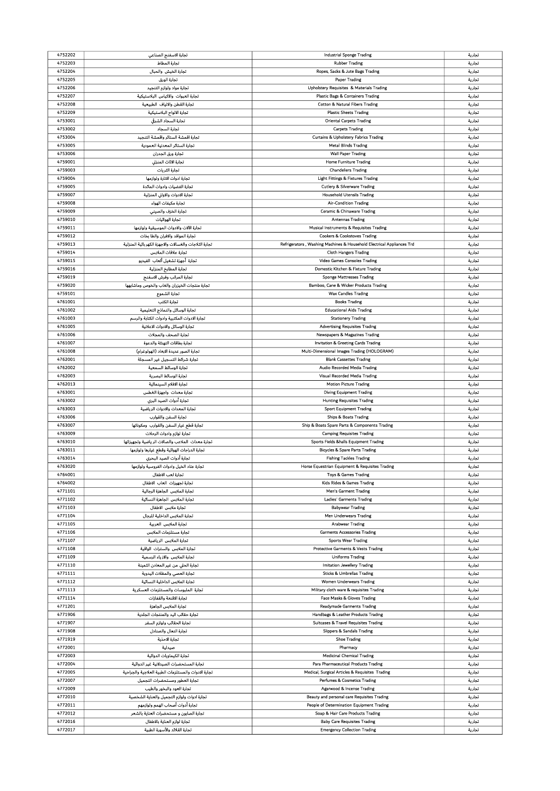| 4752202 | تجارة الاسفنج الصناعي                                  | Industrial Sponge Trading                                             | تجارية           |
|---------|--------------------------------------------------------|-----------------------------------------------------------------------|------------------|
|         |                                                        |                                                                       |                  |
| 4752203 | تجارة المطاط                                           | <b>Rubber Trading</b>                                                 | تجارية           |
| 4752204 | تجارة الخيش والحبال                                    | Ropes, Sacks & Jute Bags Trading                                      | تجارية           |
|         |                                                        |                                                                       |                  |
| 4752205 | تجارة الورق                                            | <b>Paper Trading</b>                                                  | تجارية           |
| 4752206 | تجارة مواد ولوازم التنجيد                              | Upholstery Requisites & Materials Trading                             | تجارية           |
|         |                                                        |                                                                       |                  |
| 4752207 | تجارة العبوات والاكياس البلاستيكية                     | Plastic Bags & Containers Trading                                     | تجارية           |
| 4752208 | تجارة القطن والالياف الطبيعية                          | <b>Cotton &amp; Natural Fibers Trading</b>                            | تجارية           |
|         |                                                        |                                                                       |                  |
| 4752209 | تجارة الالواح البلاستيكية                              | <b>Plastic Sheets Trading</b>                                         | تجارية           |
| 4753001 | تجارة السجاد الشرقى                                    | <b>Oriental Carpets Trading</b>                                       | تجارية           |
|         |                                                        |                                                                       |                  |
| 4753002 | تجارة السجاد                                           | <b>Carpets Trading</b>                                                | تجارية           |
| 4753004 | تجارة اقمشة الستاثر واقمشة التنجيد                     | Curtains & Upholstery Fabrics Trading                                 | تجارية           |
|         |                                                        |                                                                       |                  |
| 4753005 | تجارة الستائر المعدنية العمودية                        | <b>Metal Blinds Trading</b>                                           | تجارية           |
| 4753006 | تجارة ورق الجدران                                      | <b>Wall Paper Trading</b>                                             | تجارية           |
|         |                                                        |                                                                       |                  |
| 4759001 | تجارة الاثاث المنزلي                                   | <b>Home Furniture Trading</b>                                         | تجارية           |
| 4759003 | تحارة الثريات                                          | <b>Chandeliers Trading</b>                                            | تجارية           |
|         | تجارة ادوات الانارة ولوازمها                           |                                                                       |                  |
| 4759004 |                                                        | <b>Light Fittings &amp; Fixtures Trading</b>                          | تجارية           |
| 4759005 | تجارة الفضيات وادوات المائدة                           | <b>Cutlery &amp; Silverware Trading</b>                               | تجارية           |
| 4759007 | تجارة الادوات والاواني المنزلية                        | <b>Household Utensils Trading</b>                                     | تجارية           |
|         |                                                        |                                                                       |                  |
| 4759008 | تجارة مكيفات الهواء                                    | <b>Air-Condition Trading</b>                                          | تجارية           |
| 4759009 | تجارة الخزف والصينى                                    | Ceramic & Chinaware Trading                                           | تجارية           |
|         |                                                        |                                                                       |                  |
| 4759010 | تجارة الهوائيات                                        | <b>Antennas Trading</b>                                               | تجارية           |
| 4759011 | تجارة الآلات والادوات الموسيقية ولوازمها               | Musical Instruments & Requisites Trading                              | تجارية           |
|         |                                                        |                                                                       |                  |
| 4759012 | تجارة المواقد والافران والطا بخات                      | <b>Cookers &amp; Cookstoves Trading</b>                               | تجارية           |
| 4759013 | تجارة الثلاجات والغسالات والاجهزة الكهر باثية المنزلية | Refrigerators, Washing Machines & Household Electrical Appliances Trd | تجارية           |
|         |                                                        |                                                                       |                  |
| 4759014 | تجارة علاقات الملابس                                   | <b>Cloth Hangers Trading</b>                                          | تجارية           |
| 4759015 | تجاره أجهزة تشغيل ألعاب الفيديو                        | Video Games Consoles Trading                                          | تجارية           |
|         |                                                        |                                                                       |                  |
| 4759016 | تجارة المطابخ المنزلية                                 | Domestic Kitchen & Fixture Trading                                    | تجارية           |
| 4759019 | تجارة المراتب وفرش الاسفنج                             | <b>Sponge Mattresses Trading</b>                                      | تجارية           |
|         |                                                        |                                                                       |                  |
| 4759020 | تجارة منتجات الخيزران والغاب والخوص وماشابهها          | Bamboo, Cane & Wicker Products Trading                                | تجارية           |
| 4759101 | تجارة الشموع                                           | <b>Wax Candles Trading</b>                                            | تجارية           |
|         |                                                        |                                                                       |                  |
| 4761001 | تجارة الكتب                                            | <b>Books Trading</b>                                                  | تجارية           |
| 4761002 | تجارة الوسائل والنماذج التعليمية                       | <b>Educational Aids Trading</b>                                       | تجارية           |
|         |                                                        |                                                                       |                  |
| 4761003 | تجارة الادوات المكتبية وادوات الكتابة والرسم           | <b>Stationery Trading</b>                                             | تجارية           |
| 4761005 | تجارة الوسائل والادوات الاعلانية                       | <b>Advertising Requisites Trading</b>                                 | تجارية           |
|         |                                                        |                                                                       |                  |
| 4761006 | تجارة الصحف والمجلات                                   | Newspapers & Magazines Trading                                        | تجارية           |
| 4761007 | تجارة بطاقات التهنئة والدعوة                           | Invitation & Greeting Cards Trading                                   | تجارية           |
|         |                                                        |                                                                       |                  |
| 4761008 | تجارة الصور عديدة الابعاد (الهولوغرام)                 | Multi-Dimensional Images Trading (HOLOGRAM)                           | تجارية           |
| 4762001 | تجارة شرائط التسجيل غير المسجلة                        | <b>Blank Cassettes Trading</b>                                        | تجارية           |
|         | تجارة الوسائط السمعية                                  |                                                                       |                  |
| 4762002 |                                                        | Audio Recorded Media Trading                                          | تجارية           |
| 4762003 | تجارة الوسائط البصرية                                  | Visual Recorded Media Trading                                         | تجارية           |
| 4762013 | تجارة الافلام السينمائية                               | <b>Motion Picture Trading</b>                                         |                  |
|         |                                                        |                                                                       | تجارية           |
| 4763001 | تجارة معدات واجهزة الغطس                               | <b>Diving Equipment Trading</b>                                       | تجارية           |
| 4763002 | تجارة أدوات الصيد البرى                                | <b>Hunting Requisites Trading</b>                                     | تجارية           |
|         |                                                        |                                                                       |                  |
| 4763003 | تجارة المعدات والادوات الرياضية                        | <b>Sport Equipment Trading</b>                                        | تجارية           |
| 4763006 | تجارة السفن والقوارب                                   | <b>Ships &amp; Boats Trading</b>                                      | تجارية           |
|         |                                                        |                                                                       |                  |
| 4763007 | تجارة قطع غيار السفن والقوارب ومكوناتها                | Ship & Boats Spare Parts & Components Trading                         | تجارية           |
| 4763009 | تجارة لوازم وادوات الرحلات                             | <b>Camping Requisites Trading</b>                                     | تجارية           |
| 4763010 | تجارة معدات الملاعب والصالات الرياضية وتجهيزاتها       | Sports Fields &halls Equipment Trading                                |                  |
|         |                                                        |                                                                       | تجارية           |
| 4763011 | تجارة الدراجات الهواثية وقطع غيارها ولوازمها           | <b>Bicycles &amp; Spare Parts Trading</b>                             | تجارية           |
| 4763014 | تجارة أدوات الصيد البحرى                               | <b>Fishing Tackles Trading</b>                                        | تجارية           |
|         |                                                        |                                                                       |                  |
| 4763020 | تجارة عتاد الخيل وادوات الفروسية ولوازمها              | Horse Equestrian Equipment & Requisites Trading                       | تجارية           |
| 4764001 | تجارة لعب الاطفال                                      | Toys & Games Trading                                                  | تجارية           |
|         |                                                        |                                                                       |                  |
| 4764002 | تجارة تجهيزات العاب الاطفال                            | Kids Rides & Games Trading                                            | تجارية           |
| 4771101 | تجارة الملابس الجاهزة الرجالية                         | <b>Men's Garment Trading</b>                                          | تجارية           |
|         |                                                        |                                                                       |                  |
| 4771102 | تجارة الملابس الجاهزة النسائية                         | Ladies' Garments Trading                                              | تجارية           |
| 4771103 | تجارة ملابس الاطفال                                    | <b>Babywear Trading</b>                                               | تجارية           |
|         |                                                        |                                                                       |                  |
| 4771104 | تجارة الملابس الداخلية للرجال                          | Men Underwears Trading                                                | تجارية           |
| 4771105 | تجارة الملابس العربية                                  | <b>Arabwear Trading</b>                                               | تجارية           |
| 4771106 | تجارة مستلزمات الملابس                                 | <b>Garments Accessories Trading</b>                                   | تجارية           |
|         |                                                        |                                                                       |                  |
| 4771107 | تجارة الملابس الرياضية                                 | <b>Sports Wear Trading</b>                                            | تجارية           |
| 4771108 | تجارة الملابس والسترات الواقية                         | Protective Garments & Vests Trading                                   | تجارية           |
|         |                                                        |                                                                       |                  |
| 4771109 | تجارة الملابس والازياء الرسمية                         | <b>Uniforms Trading</b>                                               | تجارية           |
| 4771110 | تجارة الحلي من غير المعادن الثمينة                     | Imitation Jewellery Trading                                           | تجارية           |
|         |                                                        |                                                                       |                  |
| 4771111 | تجارة العصى والمظلات اليدوية                           | <b>Sticks &amp; Umbrellas Trading</b>                                 | تجارية           |
| 4771112 | تجارة الملابس الداخلية النسائية                        | Women Underwears Trading                                              | تجارية           |
|         |                                                        |                                                                       |                  |
| 4771113 | تجارة الملبوسات والمستلزمات العسكرية                   | Military cloth ware & requisites Trading                              | تجارية           |
| 4771114 | تجارة الاقنعة والقفازات                                | Face Masks & Gloves Trading                                           | تجارية           |
| 4771201 | تجارة الملابس الجاهزة                                  | <b>Readymade Garments Trading</b>                                     | تجارية           |
|         |                                                        |                                                                       |                  |
| 4771906 | تجارة حقائب اليد والمنتجات الجلدية                     | Handbags & Leather Products Trading                                   | تجارية           |
| 4771907 | تجارة الحقائب ولوازم السفر                             | Suitcases & Travel Requisites Trading                                 | تجارية           |
|         |                                                        |                                                                       |                  |
| 4771908 | تجارة النعال والصنادل                                  | <b>Slippers &amp; Sandals Trading</b>                                 | تجارية           |
| 4771919 | تجارة الاحذية                                          | <b>Shoe Trading</b>                                                   | تجارية           |
|         |                                                        |                                                                       |                  |
| 4772001 |                                                        | Pharmacy                                                              | تجارية           |
| 4772003 | صيدلية                                                 |                                                                       |                  |
|         |                                                        |                                                                       |                  |
|         | تجارة الكيماويات الدواثية                              | <b>Medicinal Chemical Trading</b>                                     | تجارية           |
| 4772004 | تجارة المستحضرات الصيدلانية غير الدواثية               | Para Pharmaceutical Products Trading                                  | تجارية           |
| 4772005 |                                                        |                                                                       |                  |
|         | تجارة الادوات والمستلزمات الطبية العلاجية والجراحية    | Medical, Surgical Articles & Requisites Trading                       | تجارية           |
| 4772007 | تجارة العطور ومستحضرات التجميل                         | Perfumes & Cosmetics Trading                                          | تجارية           |
|         |                                                        |                                                                       |                  |
| 4772009 | تجارة العود والبخور والطيب                             | Agarwood & Incense Trading                                            | تجارية           |
| 4772010 | تجارة ادوات ولوازم التجميل والعناية الشخصية            | Beauty and personal care Requisites Trading                           | تجارية           |
| 4772011 |                                                        |                                                                       |                  |
|         | تجارة أدوات أصحاب الهمم ولوازمهم                       | People of Determination Equipment Trading                             | تجارية           |
| 4772012 | تجارة الصابون و مستحضرات العناية بالشعر                | Soap & Hair Care Products Trading                                     | تجارية           |
| 4772016 | تجارة لوازم العناية بالاطفال                           | <b>Baby Care Requisites Trading</b>                                   |                  |
| 4772017 | تجارة القلائد والأسورة الطبية                          | <b>Emergency Collection Trading</b>                                   | تجارية<br>تجارية |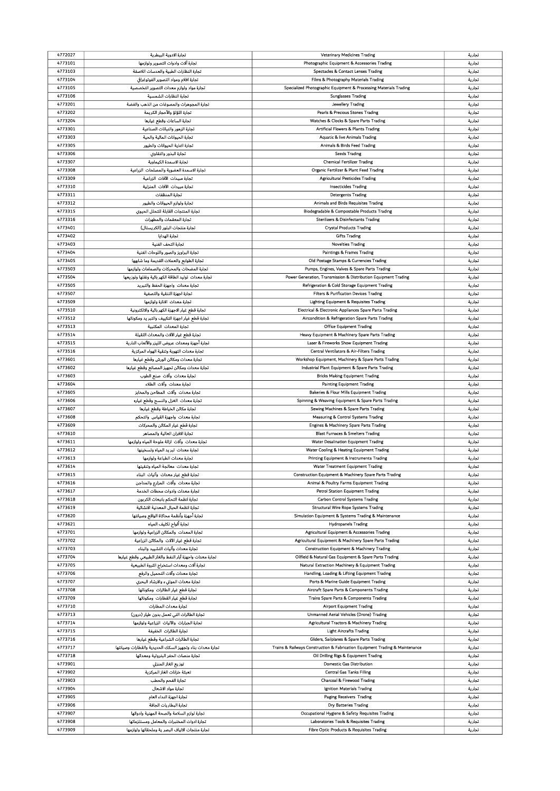| 4772027            | تجارة الادوية البيطرية                                                                         | Veterinary Medicines Trading                                                         | تجارية           |
|--------------------|------------------------------------------------------------------------------------------------|--------------------------------------------------------------------------------------|------------------|
| 4773101            | تجارة آلات وادوات التصوير ولوازمها                                                             | Photographic Equipment & Accessories Trading                                         | تجارية           |
|                    |                                                                                                |                                                                                      |                  |
| 4773103            | تجارة النظارات الطبية والعدسات اللاصقة                                                         | <b>Spectacles &amp; Contact Lenses Trading</b>                                       | تجارية           |
| 4773104            | تجارة افلام ومواد التصوير الفوتوغرافي                                                          | Films & Photography Materials Trading                                                | تجارية           |
| 4773105            | تجارة مواد ولوازم معدات التصوير التخصصية                                                       | Specialized Photographic Equipment & Processing Materials Trading                    | تجارية           |
| 4773106            | تجارة النظارات الشمسية                                                                         | <b>Sunglasses Trading</b>                                                            | تجارية           |
| 4773201            |                                                                                                |                                                                                      |                  |
|                    | تجارة المجوهرات والمصوغات من الذهب والفضة                                                      | Jewellery Trading                                                                    | تجارية           |
| 4773202            | تجارة اللؤلؤ والأحجار الكريمة                                                                  | Pearls & Precious Stones Trading                                                     | تجارية           |
| 4773204            | تجارة الساعات وقطع غيارها                                                                      | Watches & Clocks & Spare Parts Trading                                               | تجارية           |
| 4773301            | تجارة الزهور والنباتات الصناعية                                                                | Artificial Flowers & Plants Trading                                                  | تجارية           |
|                    |                                                                                                |                                                                                      |                  |
| 4773303            | تجارة الحيوانات الماثية والحية                                                                 | <b>Aquatic &amp; live Animals Trading</b>                                            | تجارية           |
| 4773305            | تجارة اغذية الحيوانات والطيور                                                                  | Animals & Birds Feed Trading                                                         | تجارية           |
| 4773306            | تجارة البذور والتقاوي                                                                          | <b>Seeds Trading</b>                                                                 | تجارية           |
|                    |                                                                                                |                                                                                      |                  |
| 4773307            | تجارة الاسمدة الكيماوية                                                                        | <b>Chemical Fertilizer Trading</b>                                                   | تجارية           |
| 4773308            | تجارة الاسمدة العضوية والمصلحات الزراعية                                                       | Organic Fertilizer & Plant Feed Trading                                              | تجارية           |
| 4773309            | تجارة مبيدات الآفات الزراعية                                                                   | <b>Agricultural Pesticides Trading</b>                                               | تجارية           |
|                    |                                                                                                |                                                                                      |                  |
| 4773310            | تجارة مبيدات الآفات المنزلية                                                                   | <b>Insecticides Trading</b>                                                          | تجارية           |
| 4773311            | تجارة المنظفات                                                                                 | <b>Detergents Trading</b>                                                            | تجارية           |
| 4773312            | تجارة ولوازم الحيوانات والطيور                                                                 | Animals and Birds Requisites Trading                                                 | تجارية           |
| 4773315            | تجارة المنتجات القابلة للتحلل الحيوي                                                           | Biodegradable & Compostable Products Trading                                         | تجارية           |
|                    |                                                                                                |                                                                                      |                  |
| 4773316            | تجارة المعقمات والمطهرات                                                                       | <b>Sterilizers &amp; Disinfectants Trading</b>                                       | تجارية           |
| 4773401            | تجارة منتجات البلور (الكريستال)                                                                | <b>Crystal Products Trading</b>                                                      | تجارية           |
| 4773402            | تجارة الهدايا                                                                                  | <b>Gifts Trading</b>                                                                 | تجارية           |
|                    |                                                                                                |                                                                                      |                  |
| 4773403            | تجارة التحف الفنية                                                                             | <b>Novelties Trading</b>                                                             | تجارية           |
| 4773404            | تجارة البراويز والصور واللوحات الفنية                                                          | Paintings & Frames Trading                                                           | تجارية           |
| 4773405            | تجارة الطوابع والعملات القديمة وما شابهها                                                      | Old Postage Stamps & Currencies Trading                                              | تجارية           |
| 4773503            | تجارة المضخات والمحركات والصمامات ولوازمها                                                     | Pumps, Engines, Valves & Spare Parts Trading                                         | تجارية           |
|                    |                                                                                                |                                                                                      |                  |
| 4773504            | تجارة معدات توليد الطاقة الكهر باثية ونقلها وتوزيعها                                           | Power Generation, Transmission & Distribution Equipment Trading                      | تجارية           |
| 4773505            | تجاره معدات واجهزة الحفظ والتبريد                                                              | Refrigeration & Cold Storage Equipment Trading                                       | تجارية           |
| 4773507            | تجارة اجهزة التنقية والتصفية                                                                   | Filters & Purification Devices Trading                                               | تجارية           |
|                    |                                                                                                |                                                                                      |                  |
| 4773509            | تجارة معدات الانارة ولوازمها                                                                   | Lighting Equipment & Requisites Trading                                              | تجارية           |
| 4773510            | تجارة قطع غيار الاجهزة الكهر باثية والالكترونية                                                | Electrical & Electronic Appliances Spare Parts Trading                               | تجارية           |
| 4773512            | تجارة قطع غيار اجهزة التكييف والتبر يد ومكوناتها                                               | Aircondition & Refrigeration Spare Parts Trading                                     | تجارية           |
| 4773513            | تجارة المعدات المكتبية                                                                         | <b>Office Equipment Trading</b>                                                      | تجارية           |
|                    |                                                                                                |                                                                                      |                  |
| 4773514            | تجارة قطع غيار الآلات والمعدات الثقيلة                                                         | Heavy Equipment & Machinery Spare Parts Trading                                      | تجارية           |
| 4773515            | تجارة أجهزة ومعدات عروض الليزر والألعاب النارية                                                | Laser & Fireworks Show Equipment Trading                                             | تجارية           |
| 4773516            | تجارة معدات التهوية وتنقية الهواء المركزية                                                     | Central Ventilators & Air-Filters Trading                                            | تجارية           |
|                    |                                                                                                |                                                                                      |                  |
| 4773601            | تجارة معدات ومكائن الورش وقطع غيارها                                                           | Workshop Equipment, Machinery & Spare Parts Trading                                  | تجارية           |
| 4773602            | تجارة معدات ومكاثن تجهيز المصانع وقطع غيارها                                                   | Industrial Plant Equipment & Spare Parts Trading                                     | تجارية           |
| 4773603            | تجارة معدات وآلات صنع الطوب                                                                    | <b>Bricks Making Equipment Trading</b>                                               | تجارية           |
| 4773604            | تجارة معدات وآلات الطلاء                                                                       | <b>Painting Equipment Trading</b>                                                    | تجارية           |
|                    |                                                                                                |                                                                                      |                  |
| 4773605            | تجارة معدات وآلات المطاحن والمخابز                                                             | <b>Bakeries &amp; Flour Mills Equipment Trading</b>                                  | تجارية           |
| 4773606            | تجارة معدات الغزل والنسج وقطع غياره                                                            | Spinning & Weaving Equipment & Spare Parts Trading                                   | تجارية           |
| 4773607            | تجارة مكاثن الخياطة وقطع غيارها                                                                | Sewing Machines & Spare Parts Trading                                                | تجارية           |
|                    |                                                                                                |                                                                                      |                  |
| 4773608            | تجارة معدات واجهزة القياس والتحكم                                                              | Measuring & Control Systems Trading                                                  | تجارية           |
| 4773609            | تجارة قطع غيار المكائن والمحركات                                                               | Engines & Machinery Spare Parts Trading                                              | تجارية           |
| 4773610            | تجارة الافران العالية والمصاهر                                                                 | <b>Blast Furnaces &amp; Smelters Trading</b>                                         | تجارية           |
| 4773611            | تجارة معدات  وآلات  ازالة ملوحة المياه ولوازمها                                                | Water Desalination Equipment Trading                                                 | تجارية           |
|                    |                                                                                                |                                                                                      |                  |
| 4773612            | تجارة معدات تبر يد المياه وتسخينها                                                             | Water Cooling & Heating Equipment Trading                                            | تجارية           |
| 4773613            | تجارة معدات الطباعة ولوازمها                                                                   | Printing Equipment & Instruments Trading                                             | تجارية           |
| 4773614            | تحارة معدات معالحة المباه وتنقبتها                                                             | Water Treatment Equipment Trading                                                    | تجارية           |
| 4773615            | تجارة قطع غيار معدات وآليات البناء                                                             | Construction Equipment & Machinery Spare Parts Trading                               | تجارية           |
|                    |                                                                                                |                                                                                      |                  |
| 4773616            | تجارة معدات وآلات المزارع والمداجن                                                             | Animal & Poultry Farms Equipment Trading                                             | تجارية           |
| 4773617            | تجارة معدات وادوات محطات الخدمة                                                                | <b>Petrol Station Equipment Trading</b>                                              | تجارية           |
| 4773618            | تجارة انظمة التحكم بانبعاث الكربون                                                             | Carbon Control Systems Trading                                                       | تجارية           |
| 4773619            | تجارة انظمة الحبال المعدنية الانشائية                                                          | Structural Wire Rope Systems Trading                                                 |                  |
|                    |                                                                                                |                                                                                      | تجارية           |
| 4773620            | تجارة أجهزة وأنظمة محاكاة الواقع وصيانتها                                                      | Simulation Equipment & Systems Trading & Maintenance                                 | تجارية           |
| 4773621            | تجارة ألواح تكثيف المياه                                                                       | <b>Hydropanels Trading</b>                                                           | تجارية           |
| 4773701            | تجارة المعدات والمكائن الزراعية ولوازمها                                                       | Agricultural Equipment & Accessories Trading                                         | تجارية           |
| 4773702            |                                                                                                |                                                                                      |                  |
|                    | تجارة قطع غيار الآلات  والمكائن الزراعية                                                       | Agricultural Equipment & Machinery Spare Parts Trading                               | تجارية           |
| 4773703            | تجارة معدات وآليات التشييد والبناء                                                             | <b>Construction Equipment &amp; Machinery Trading</b>                                | تجارية           |
| 4773704            | تجارة معدات واجهزة آبار النفط والغاز الطبيعي وقطع غيارها                                       | Oilfield & Natural Gas Equipment & Spare Parts Trading                               | تجارية           |
| 4773705            | تجارة آلات ومعدات استخراج الثروة الطبيعية                                                      | Natural Extraction Machinery & Equipment Trading                                     | تجارية           |
|                    |                                                                                                |                                                                                      |                  |
| 4773706            | تجارة معدات وآلات التحميل والرفع                                                               | Handling, Loading & Lifting Equipment Trading                                        | تجارية           |
| 4773707            | تجارة معدات الموانيء والارشاد البحري                                                           | Ports & Marine Guide Equipment Trading                                               | تجارية           |
| 4773708            | تجارة قطع غيار الطائرات  ومكوناتها                                                             | Aircraft Spare Parts & Components Trading                                            | تجارية           |
| 4773709            | تجارة قطع غيار القطارات  ومكوناتها                                                             | Trains Spare Parts & Components Trading                                              | تجارية           |
|                    |                                                                                                |                                                                                      |                  |
| 4773710            | تجارة معدات المطارات                                                                           | <b>Airport Equipment Trading</b>                                                     | تجارية           |
| 4773713            | تجارة الطائرات التي تعمل بدون طيار (درون)                                                      | Unmanned Aerial Vehicles (Drone) Trading                                             | تجارية           |
| 4773714            | تجارة الجرارات والآليات الزراعية ولوازمها                                                      | Agricultural Tractors & Machinery Trading                                            | تجارية           |
|                    |                                                                                                |                                                                                      |                  |
| 4773715            | تجارة الطائرات الخفيفة                                                                         | <b>Light Aircrafts Trading</b>                                                       | تجارية           |
| 4773716            | تجارة الطائرات الشراعية وقطع غيارها                                                            | Gliders, Sailplanes & Spare Parts Trading                                            | تجارية           |
| 4773717            | تجارة معدات بناء وتجهيز السكك الحديدية والقطارات وصيانتها                                      | Trains & Railways Construction & Fabrication Equipment Trading & Maintenance         | تجارية           |
| 4773718            | تجارة منصات الحفر البترولية ومعداتها                                                           | Oil Drilling Rigs & Equipment Trading                                                | تجارية           |
|                    |                                                                                                |                                                                                      |                  |
| 4773901            | توزيع الغاز المنزلي                                                                            | Domestic Gas Distribution                                                            | تجارية           |
| 4773902            | تعبثة خزانات الغاز المركزية                                                                    | <b>Central Gas Tanks Filling</b>                                                     | تجارية           |
| 4773903            | تجارة الفحم والحطب                                                                             | Charcoal & Firewood Trading                                                          | تجارية           |
|                    |                                                                                                | Ignition Materials Trading                                                           |                  |
| 4773904            |                                                                                                |                                                                                      | تجارية           |
|                    | تجارة مواد الاشعال                                                                             |                                                                                      |                  |
| 4773905            | تجارة اجهزة النداء العام                                                                       | Paging Receivers Trading                                                             | تجارية           |
| 4773906            | تجارة البطاريات الجافة                                                                         | Dry Batteries Trading                                                                | تجارية           |
|                    |                                                                                                |                                                                                      |                  |
| 4773907            | تجارة لوازم السلامة والصحة المهنية وادواتها                                                    | Occupational Hygiene & Safety Requisites Trading                                     | تجارية           |
| 4773908<br>4773909 | تجارة ادوات المختبرات والمعامل ومستلزماتها<br>تجارة منتجات الالياف البصر ية وملحقاتها ولوازمها | Laboratories Tools & Requisites Trading<br>Fibre Optic Products & Requisites Trading | تجارية<br>تجارية |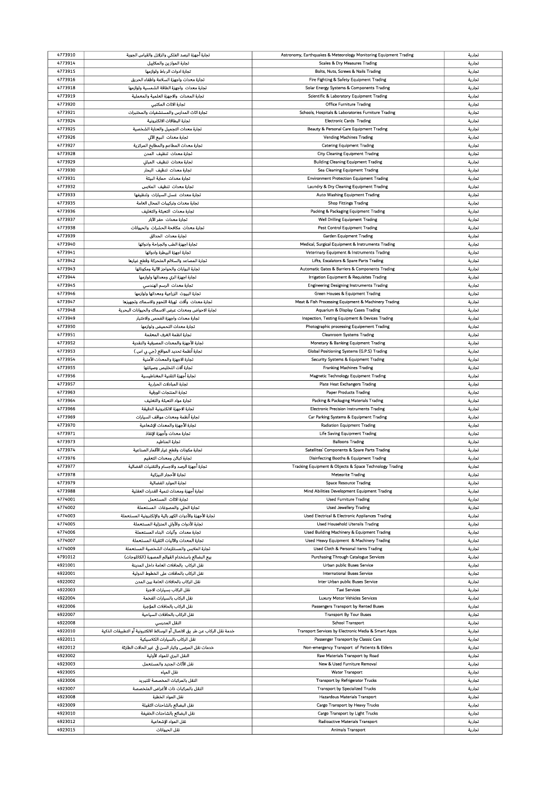| 4773910            | تجارة أجهزة الرصد الفلكي والزلازل والقياس الجوية                             | Astronomy, Earthquakes & Meteorology Monitoring Equipment Trading | تجارية           |
|--------------------|------------------------------------------------------------------------------|-------------------------------------------------------------------|------------------|
| 4773914            | تجارة الموازين والمكابيل                                                     | Scales & Dry Measures Trading                                     | تجارية           |
|                    |                                                                              |                                                                   |                  |
| 4773915            | تجارة ادوات الر باط ولوازمها                                                 | Bolts, Nuts, Screws & Nails Trading                               | تجارية           |
| 4773916            | تجارة معدات واجهزة السلامة واطفاء الحريق                                     | Fire Fighting & Safety Equipment Trading                          | تجارية           |
| 4773918            | تجارة معدات  واجهزة الطاقة الشمسية ولوازمها                                  | Solar Energy Systems & Components Trading                         | تجارية           |
| 4773919            | تجارة المعدات والاجهزة العلمية والمعملية                                     | Scientific & Laboratory Equipment Trading                         | تجارية           |
|                    |                                                                              |                                                                   |                  |
| 4773920            | تجارة الاثاث المكتبى                                                         | <b>Office Furniture Trading</b>                                   | تجارية           |
| 4773921            | تجارة اثاث المدارس والمستشفيات والمختبرات                                    | Schools, Hospitals & Laboratories Furniture Trading               | تجارية           |
| 4773924            | تجارة البطاقات الالكترونية                                                   | <b>Electronic Cards Trading</b>                                   | تجارية           |
| 4773925            | تجاره معدات التجميل والعناية الشخصية                                         | Beauty & Personal Care Equipment Trading                          | تجارية           |
|                    |                                                                              |                                                                   |                  |
| 4773926            | تجارة معدات البيع الآلى                                                      | <b>Vending Machines Trading</b>                                   | تجارية           |
| 4773927            | تجارة معدات المطاعم والمطابخ المركزية                                        | <b>Catering Equipment Trading</b>                                 | تجارية           |
| 4773928            | تجارة معدات تنظيف المدن                                                      | <b>City Cleaning Equipment Trading</b>                            | تجارية           |
|                    |                                                                              |                                                                   |                  |
| 4773929            | تجارة معدات تنظيف المبانى                                                    | <b>Building Cleaning Equipment Trading</b>                        | تجارية           |
| 4773930            | تجارة معدات تنظيف البحار                                                     | Sea Cleaning Equipment Trading                                    | تجارية           |
| 4773931            | تجارة معدات حماية البيثة                                                     | <b>Environment Protection Equipment Trading</b>                   | تجارية           |
| 4773932            |                                                                              |                                                                   |                  |
|                    | تجارة معدات تنظيف الملابس                                                    | Laundry & Dry Cleaning Equipment Trading                          | تجارية           |
| 4773933            | تجارة معدات غسل السيارات وتنظيفها                                            | Auto Washing Equipment Trading                                    | تجارية           |
| 4773935            | تجارة معدات وتركيبات المحال العامة                                           | <b>Shop Fittings Trading</b>                                      | تجارية           |
| 4773936            | تجارة معدات التعبئة والتغليف                                                 | Packing & Packaging Equipment Trading                             | تجارية           |
|                    |                                                                              |                                                                   |                  |
| 4773937            | تجارة معدات حفر الآبار                                                       | Well Drilling Equipment Trading                                   | تجارية           |
| 4773938            | تجارة معدات مكافحة الحشرات والحيوانات                                        | <b>Pest Control Equipment Trading</b>                             | تجارية           |
| 4773939            | تجارة معدات الحدائق                                                          | <b>Garden Equipment Trading</b>                                   | تجارية           |
|                    |                                                                              |                                                                   |                  |
| 4773940            | تجارة اجهزة الطب والجراحة وادواتها                                           | Medical, Surgical Equipment & Instruments Trading                 | تجارية           |
| 4773941            | تجارة اجهزة البيطرة وادواتها                                                 | Veterinary Equipment & Instruments Trading                        | تجارية           |
| 4773942            | تجارة المصاعد والسلالم المتحركة وقطع غيارها                                  | Lifts, Escalators & Spare Parts Trading                           | تجارية           |
| 4773943            | تجارة البوابات والحواجز الآلية ومكوناتها                                     | Automatic Gates & Barriers & Components Trading                   | تجارية           |
|                    |                                                                              |                                                                   |                  |
| 4773944            | تجارة اجهزة الري ومعداتها ولوازمها                                           | Irrigation Equipment & Requisites Trading                         | تجارية           |
| 4773945            | تجارة معدات الرسم الهندسي                                                    | <b>Engineering Designing Instruments Trading</b>                  | تجارية           |
| 4773946            | تجارة البيوت الزراعية ومعداتها ولوازمها                                      | <b>Green Houses &amp; Equipment Trading</b>                       | تجارية           |
|                    |                                                                              |                                                                   |                  |
| 4773947            | تجارة معدات وآلات تهيئة اللحوم والاسماك وتجهيزها                             | Meat & Fish Processing Equipment & Machinery Trading              | تجارية           |
| 4773948            | تجارة الاحواض ومعدات عرض الاسماك والحيوانات البحرية                          | Aquarium & Display Cases Trading                                  | تجارية           |
| 4773949            | تجارة معدات واجهزة الفحص والاختبار                                           | Inspection, Testing Equipment & Devices Trading                   | تجارية           |
|                    |                                                                              |                                                                   |                  |
| 4773950            | تجارة معدات التحميض ولوازمها                                                 | Photographic processing Equipement Trading                        | تجارية           |
| 4773951            | تجارة انظمة الغرف المعقمة                                                    | <b>Cleanroom Systems Trading</b>                                  | تجارية           |
| 4773952            | تجارة الأجهزة والمعدات المصرفية والنقدية                                     | Monetary & Banking Equipment Trading                              | تجارية           |
| 4773953            | تجارة أنظمة تحديد المواقع (جي بي اس )                                        | Global Positioning Systems (G.P.S) Trading                        | تجارية           |
|                    |                                                                              |                                                                   |                  |
| 4773954            | تجارة الاجهزة والمعدات الأمنية                                               | Security Systems & Equipment Trading                              | تجارية           |
| 4773955            | تجارة آلات التخليص وصيانتها                                                  | <b>Franking Machines Trading</b>                                  | تجارية           |
| 4773956            | تجارة أجهزة التقنية المغناطيسية                                              | Magnetic Technology Equipment Trading                             | تجارية           |
|                    |                                                                              |                                                                   |                  |
| 4773957            | تجارة المبادلات الحرارية                                                     | <b>Plate Heat Exchangers Trading</b>                              | تجارية           |
| 4773963            | تجارة المنتجات الورقية                                                       | <b>Paper Products Trading</b>                                     | تجارية           |
| 4773964            | تجارة مواد التعبثة والتغليف                                                  | Packing & Packaging Materials Trading                             | تجارية           |
|                    |                                                                              |                                                                   |                  |
| 4773966            | تجارة الاجهزة الالكترونية الدقيقة                                            | <b>Electronic Precision Instruments Trading</b>                   | تجارية           |
| 4773969            | تجارة أنظمة ومعدات مواقف السيارات                                            | Car Parking Systems & Equipment Trading                           | تجارية           |
| 4773970            | تجارة الأجهزة والمعدات الإشعاعية                                             | <b>Radiation Equipment Trading</b>                                | تجارية           |
| 4773971            | تجارة معدات وأجهزة الإنقاذ                                                   | <b>Life Saving Equipment Trading</b>                              | تجارية           |
|                    |                                                                              |                                                                   |                  |
| 4773973            | تجارة المناطيد                                                               | <b>Balloons Trading</b>                                           | تجارية           |
| 4773974            | تجارة مكونات وقطع غيار الأقمار الصناعية                                      | Satellites' Components & Spare Parts Trading                      |                  |
| 4773976            |                                                                              |                                                                   | تجارية           |
|                    |                                                                              |                                                                   |                  |
|                    | تجارة كباثن ومعدات التعقيم                                                   | Disinfecting Booths & Equipment Trading                           | تجارية           |
| 4773977            | تجارة أجهزة الرصد والاجسام والتقنيات الفضائية                                | Tracking Equipment & Objects & Space Technology Trading           | تجارية           |
| 4773978            | تجارة الأحجار النيزكية                                                       | <b>Meteorite Trading</b>                                          | تجارية           |
| 4773979            | تجارة الموارد الفضائية                                                       | <b>Space Resource Trading</b>                                     | تجارية           |
|                    |                                                                              |                                                                   |                  |
| 4773988            | تجارة أجهزة ومعدات تنمية القدرات العقلية                                     | Mind Abilities Development Equipment Trading                      | تجارية           |
| 4774001            | تجارة الاثاث المستعمل                                                        | <b>Used Furniture Trading</b>                                     | تجارية           |
| 4774002            | تجارة الحلي والمصوغات المستعملة                                              | <b>Used Jewellery Trading</b>                                     | تجارية           |
| 4774003            |                                                                              |                                                                   |                  |
|                    | تجارة الأجهزة والأدوات الكهر باثية والإلكترونية المستعملة                    | Used Electrical & Electronic Appliances Trading                   | تجارية           |
| 4774005            | تجارة الأدوات والأوانى المنزلية المستعملة                                    | <b>Used Household Utensils Trading</b>                            | تجارية           |
| 4774006            | تجارة معدات وآليات البناء المستعملة                                          | Used Building Machinery & Equipment Trading                       | تجارية           |
| 4774007            | تجارة المعدات والآليات الثقيلة المستعملة                                     | Used Heavy Equipment & Machinery Trading                          | تجارية           |
|                    |                                                                              |                                                                   |                  |
| 4774009            | تجارة الملابس والمستلزمات الشخصية المستعملة                                  | Used Cloth & Personal Items Trading                               | تجارية           |
| 4791012            | بيع البضائع باستخدام القوائم المصورة (الكاتلوجات)                            | Purchasing Through Catalogue Services                             | تجارية           |
| 4921001            | نقل الركاب  بالحافلات العامة داخل المدينة                                    | Urban public Buses Service                                        | تجارية           |
| 4922001            | نقل الركاب بالحافلات على الخطوط الدولية                                      | International Buses Service                                       | تجارية           |
|                    |                                                                              |                                                                   |                  |
| 4922002            | نقل الركاب بالحافلات العامة بين المدن                                        | Inter Urban public Buses Service                                  | تجارية           |
| 4922003            | نقل الركاب بسيارات الاجرة                                                    | <b>Taxi Services</b>                                              | تجارية           |
| 4922004            | نقل الركاب بالسيارات الفخمة                                                  | <b>Luxury Motor Vehicles Services</b>                             | تجارية           |
|                    |                                                                              |                                                                   |                  |
| 4922006            | نقل الركاب بالحافلات المؤجرة                                                 | Passengers Transport by Rented Buses                              | تجارية           |
| 4922007            | نقل الركاب بالحافلات السياحية                                                | <b>Transport By Tour Buses</b>                                    | تجارية           |
| 4922008            | النقل المدرسي                                                                | School Transport                                                  | تجارية           |
| 4922010            | خدمة نقل الركاب عن طر  يق الانصال أو الوسائط الالكترونية أو التطبيقات الذكية | Transport Services by Electronic Media & Smart Apps.              | تجارية           |
|                    |                                                                              |                                                                   |                  |
| 4922011            | نقل الركاب بالسيارات الكلاسيكية                                              | Passenger Transport by Classic Cars                               | تجارية           |
| 4922012            | خدمات نقل المرضى وكبار السن في غير الحالات الطارئة                           | Non-emergency Transport of Patients & Elders                      | تجارية           |
| 4923002            | النقل البرى للمواد الأولية                                                   | Raw Materials Transport by Road                                   | تجارية           |
|                    |                                                                              |                                                                   |                  |
| 4923003            | نقل الأثاث الجديد والمستعمل                                                  | New & Used Furniture Removal                                      | تجارية           |
| 4923005            | نقل المياه                                                                   | <b>Water Transport</b>                                            | تجارية           |
| 4923006            | النقل بالمركبات المخصصة للتبريد                                              | <b>Transport by Refrigerator Trucks</b>                           | تجارية           |
| 4923007            |                                                                              |                                                                   |                  |
|                    | النقل بالمركبات ذات الأغراض المتخصصة                                         | <b>Transport by Specialized Trucks</b>                            | تجارية           |
| 4923008            | نقل المواد الخطرة                                                            | <b>Hazardous Materials Transport</b>                              | تجارية           |
| 4923009            | نقل البضائع بالشاحنات الثقيلة                                                | Cargo Transport by Heavy Trucks                                   | تجارية           |
| 4923010            | نقل البضائع بالشاحنات الخفيفة                                                | Cargo Transport by Light Trucks                                   | تجاربة           |
|                    |                                                                              |                                                                   |                  |
| 4923012<br>4923015 | نقل المواد الإشعاعية<br>نقل الحيوانات                                        | Radioactive Materials Transport<br><b>Animals Transport</b>       | تجارية<br>تجارية |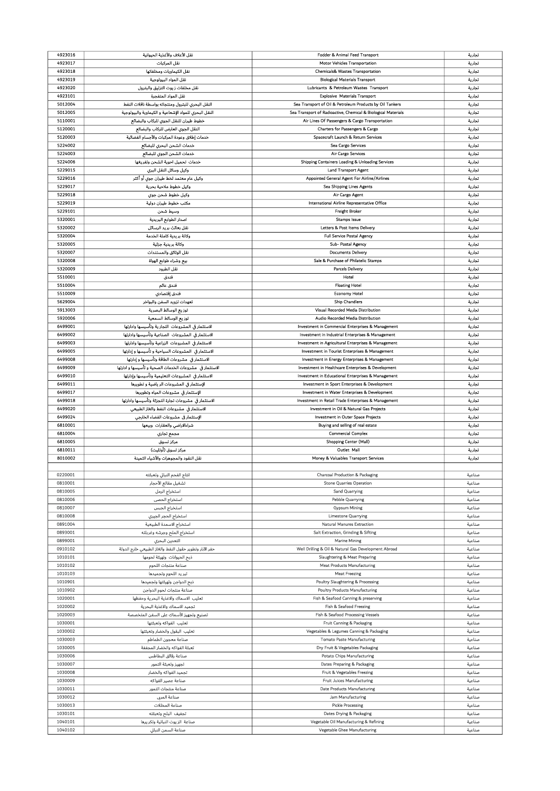| 4923016 | نقل الأعلاف والأغذية الحيوانية                           | Fodder & Animal Feed Transport                                | تجارية |
|---------|----------------------------------------------------------|---------------------------------------------------------------|--------|
| 4923017 | نقل المركبات                                             | Motor Vehicles Transportation                                 | تجارية |
|         |                                                          |                                                               |        |
| 4923018 | نقل الكيماويات ومخلفاتها                                 | <b>Chemicals&amp; Wastes Transportation</b>                   | تجارية |
| 4923019 | نقل المواد البيولوجية                                    | <b>Biological Materials Transport</b>                         | تجارية |
| 4923020 | نقل مخلفات زيوت التزليق والبترول                         | Lubricants & Petroleum Wastes Transport                       | تجارية |
| 4923101 | نقل المواد المتفجرة                                      | <b>Explosive Materials Transport</b>                          | تجارية |
|         |                                                          | Sea Transport of Oil & Petroleum Products by Oil Tankers      |        |
| 5012004 | النقل البحرى للبترول ومنتجاته بواسطة ناقلات النفط        |                                                               | تجارية |
| 5012005 | النقل البحري للمواد الإشعاعية و الكيماوية والبيولوجية    | Sea Transport of Radioactive, Chemical & Biological Materials | تجارية |
| 5110001 | خطوط طيران للنقل الجوى للركاب والبضائع                   | Air Lines Of Passengers & Cargo Transportation                | تجارية |
| 5120001 | النقل الجوي العارض للركاب والبضائع                       | Charters for Passengers & Cargo                               | تجارية |
| 5120003 |                                                          | Spacecraft Launch & Return Services                           |        |
|         | خدمات إطلاق وعودة المركبات والأجسام الفضائية             |                                                               | تجارية |
| 5224002 | خدمات الشحن البحري للبضائع                               | Sea Cargo Services                                            | تجارية |
| 5224003 | خدمات الشحن الجوى للبضائع                                | Air Cargo Services                                            | تجارية |
| 5224006 | خدمات تحميل احوية الشحن وتفريغها                         | Shipping Containers Loading & Unloading Services              | تجارية |
| 5229015 | وكيل وسائل النقل البرى                                   | <b>Land Transport Agent</b>                                   |        |
|         |                                                          |                                                               | تجارية |
| 5229016 | وكيل عام معتمد لخط طيران جوي أو أكثر                     | Appointed General Agent For Airline/Airlines                  | تجارية |
| 5229017 | وكيل خطوط ملاحية بحرية                                   | Sea Shipping Lines Agents                                     | تجارية |
| 5229018 | وكيل خطوط شحن جوى                                        | Air Cargo Agent                                               | تجارية |
| 5229019 |                                                          | International Airline Representative Office                   |        |
|         | مكتب خطوط طيران دولية                                    |                                                               | تجارية |
| 5229101 | وسيط شحن                                                 | Freight Broker                                                | تجارية |
| 5320001 | اصدار الطوابع البريدية                                   | <b>Stamps Issue</b>                                           | تجارية |
| 5320002 | نقل بعائث بريد الرسائل                                   | Letters & Post Items Delivery                                 | تجارية |
| 5320004 |                                                          | <b>Full Service Postal Agency</b>                             |        |
|         | وكالة بريدية كاملة الخدمة                                |                                                               | تجارية |
| 5320005 | وكالة بريدية جزئية                                       | Sub- Postal Agency                                            | تجارية |
| 5320007 | نقل الوثائق والمستندات                                   | <b>Documents Delivery</b>                                     | تجارية |
| 5320008 | بيع وشراء طوابع الهواة                                   | Sale & Purchase of Philatelic Stamps                          | تجارية |
|         |                                                          |                                                               |        |
| 5320009 | نقل الطرود                                               | <b>Parcels Delivery</b>                                       | تجارية |
| 5510001 | فندق                                                     | Hotel                                                         | تجارية |
| 5510004 | فندق عائم                                                | <b>Floating Hotel</b>                                         | تجارية |
| 5510009 | فندق إقتصادي                                             | <b>Economy Hotel</b>                                          | تجارية |
|         |                                                          |                                                               |        |
| 5629004 | تعهدات تزويد السفن والبواخر                              | <b>Ship Chandlers</b>                                         | تجارية |
| 5913003 | توزيع الوسائط البصرية                                    | Visual Recorded Media Distribution                            | تجارية |
| 5920006 | توزيع الوسائط السمعية                                    | Audio Recorded Media Distribution                             | تجارية |
| 6499001 | الاستثمار في المشروعات التجار ية وتأسيسها وادارتها       |                                                               |        |
|         |                                                          | Investment in Commercial Enterprises & Management             | تجارية |
| 6499002 | الاستثمار فى المشروعات الصناعية وتأسيسها وادارتها        | Investment in Industrial Enterprises & Management             | تجارية |
| 6499003 | الاستثمار فى المشروعات الزراعية وتأسيسها وادارتها        | Investment in Agricultural Enterprises & Management           | تجارية |
| 6499005 | الاستثمار فى المشروعات السياحية و تأسيسها و إدارتها      | Investment in Tourist Enterprises & Management                | تجارية |
| 6499008 | الاستثمار في مشروعات الطاقة وتأسيسها و إدارتها           | Investment in Energy Enterprises & Management                 |        |
|         |                                                          |                                                               | تجارية |
| 6499009 | الاستثمار في  مشروعات الخدمات الصحية و تأسيسها و ادارتها | Investment in Healthcare Enterprises & Development            | تجارية |
| 6499010 | الاستثمار في المشروعات التعليمية وتأسيسها وإدارتها       | Investment in Educational Enterprises & Management            | تجارية |
| 6499011 | الإستثمار في المشروعات الر ياضية و تطويرها               | Investment in Sport Enterprises & Development                 | تجارية |
| 6499017 | الإستثمار في مشروعات المياه وتطويرها                     | Investment in Water Enterprises & Development                 | تجارية |
|         |                                                          |                                                               |        |
|         |                                                          |                                                               |        |
| 6499018 | الاستثمار في مشروعات تجارة التجزئة وتأسيسها وادارتها     | Investment in Retail Trade Enterprises & Management           | تجارية |
| 6499020 | الاستثمار في مشروعات النفط والغاز الطبيعي                | Investment in Oil & Natural Gas Projects                      | تجارية |
| 6499024 | الإستثمار في مشروعات الفضاء الخارجي                      | Investment in Outer Space Projects                            | تجارية |
|         |                                                          |                                                               |        |
| 6810001 | شراءالاراضي والعقارات وبيعها                             | Buying and selling of real estate                             | تجارية |
| 6810004 | مجمع تجاري                                               | <b>Commercial Complex</b>                                     | تجارية |
| 6810005 | مركز تسوق                                                | Shopping Center (Mall)                                        | تجارية |
| 6810011 | مركز تسوق (أوتليت)                                       | Outlet Mall                                                   | تجارية |
| 8010002 |                                                          |                                                               |        |
|         | نقل النقود والمجوهرات والأشياء الثمينة                   | Money & Valuables Transport Services                          | تجارية |
|         |                                                          |                                                               |        |
| 0220001 | انتاج الفحم النباتي وتعبئته                              | Charcoal Production & Packaging                               | صناعية |
| 0810001 | تشغيل مقالع الأحجار                                      | <b>Stone Quarries Operation</b>                               | صناعية |
| 0810005 |                                                          | Sand Quarrying                                                | صناعية |
|         | استخراج الرمل                                            |                                                               |        |
| 0810006 | استخراج الحصى                                            | Pebble Quarrying                                              | صناعية |
| 0810007 | استخراج الجبس                                            | <b>Gypsum Mining</b>                                          | صناعية |
| 0810008 | استخراج الحجر الجيري                                     | Limestone Quarrying                                           | صناعية |
| 0891004 | استخراج الاسمدة الطبيعية                                 | <b>Natural Manures Extraction</b>                             | صناعية |
|         |                                                          |                                                               |        |
| 0893001 | استخراج الملح وجرشه وغربلته                              | Salt Extraction, Grinding & Sifting                           | صناعية |
| 0899001 | التعدين البحري                                           | <b>Marine Mining</b>                                          | صناعية |
| 0910102 | حفر الآبار وتطوير حقول النفط والغاز الطبيعي خارج الدولة  | Well Drilling & Oil & Natural Gas Development Abroad          | صناعية |
| 1010101 | ذبح الحيوانات وتهيئة لحومها                              | <b>Slaughtering &amp; Meat Preparing</b>                      | صناعية |
| 1010102 |                                                          | <b>Meat Products Manufacturing</b>                            | صناعية |
|         | صناعة منتجات اللحوم                                      |                                                               |        |
| 1010103 | تبر يد اللحوم وتجميدها                                   | <b>Meat Freezing</b>                                          | صناعية |
| 1010901 | ذبح الدواجن وتهيئتها وتجميدها                            | Poultry Slaughtering & Processing                             | صناعية |
| 1010902 | صناعة منتجات لحوم الدواجن                                | <b>Poultry Products Manufacturing</b>                         | صناعية |
| 1020001 | تعليب الاسماك والاغذية البحرية وحفظها                    | Fish & Seafood Canning & preserving                           | صناعية |
|         |                                                          |                                                               |        |
| 1020002 | تجميد الاسماك والاغذية البحرية                           | Fish & Seafood Freezing                                       | صناعية |
| 1020003 | تصنيع وتجهيز الأسماك على السفن المتخصصة                  | Fish & Seafood Processing Vessels                             | صناعية |
| 1030001 | تعليب الفواكه وتعبثتها                                   | Fruit Canning & Packaging                                     | صناعية |
| 1030002 | تعليب البقول والخضار وتعبئتها                            | Vegetables & Legumes Canning & Packaging                      | صناعية |
|         |                                                          |                                                               |        |
| 1030003 | صناعة معجون الطماطم                                      | <b>Tomato Paste Manufacturing</b>                             | صناعية |
| 1030005 | تعبثة الفواكه والخضار المجففة                            | Dry Fruit & Vegetables Packaging                              | صناعية |
| 1030006 | صناعة رقائق البطاطس                                      | <b>Potato Chips Manufacturing</b>                             | صناعية |
| 1030007 | تجهيز وتعبثة التمور                                      | Dates Preparing & Packaging                                   | صناعية |
|         |                                                          |                                                               |        |
| 1030008 | تجميد الفواكه والخضار                                    | Fruit & Vegetables Freezing                                   | صناعية |
| 1030009 | صناعة عصير الفواكه                                       | Fruit Juices Manufacturing                                    | صناعية |
| 1030011 | صناعة منتجات التمور                                      | Date Products Manufacturing                                   | صناعية |
| 1030012 |                                                          |                                                               |        |
|         | صناعة المربى                                             | Jam Manufacturing                                             | صناعية |
| 1030013 | صناعة المخللات                                           | <b>Pickle Processing</b>                                      | صناعية |
| 1030101 | تجفيف البلح وتعبثته                                      | Dates Drying & Packaging                                      | صناعية |
| 1040101 | صناعة الزيوت النباتية وتكريرها                           | Vegetable Oil Manufacturing & Refining                        | صناعية |
| 1040102 | صناعة السمن النباتي                                      | Vegetable Ghee Manufacturing                                  | صناعية |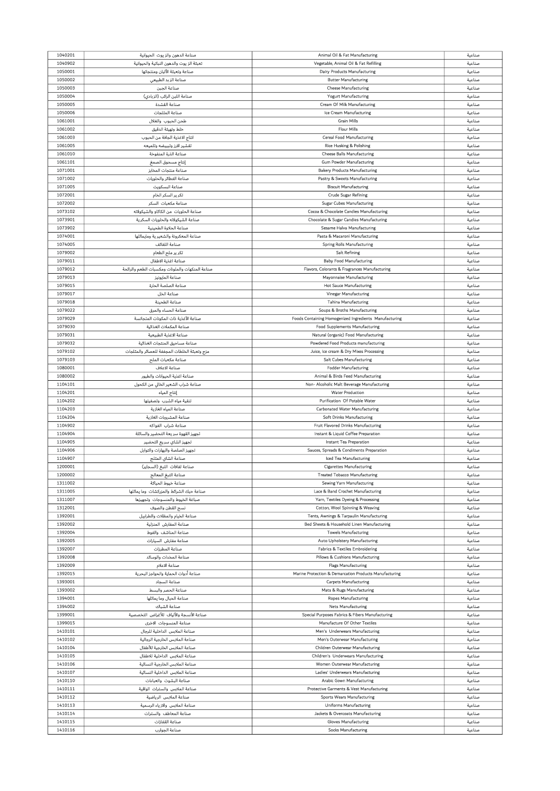| 1040201 | صناعة الدهون والز يوت الحيوانية                 | Animal Oil & Fat Manufacturing                            | صناعية           |
|---------|-------------------------------------------------|-----------------------------------------------------------|------------------|
|         |                                                 |                                                           |                  |
| 1040902 | تعبثة الز يوث والدهون النباتية والحيوانية       | Vegetable, Animal Oil & Fat Refilling                     | صناعية           |
| 1050001 | صناعة وتعبثة الألبان ومنتجاتها                  | Dairy Products Manufacturing                              | صناعية           |
| 1050002 | صناعة الزبد الطبيعي                             | <b>Butter Manufacturing</b>                               | صناعية           |
|         |                                                 |                                                           |                  |
| 1050003 | صناعة الجبن                                     | <b>Cheese Manufacturing</b>                               | صناعية           |
| 1050004 | صناعة اللبن الرائب (الزبادي)                    | <b>Yogurt Manufacturing</b>                               | صناعية           |
| 1050005 | صناعة القشدة                                    | Cream Of Milk Manufacturing                               | صناعية           |
|         | صناعة المثلحات                                  |                                                           |                  |
| 1050006 |                                                 | Ice Cream Manufacturing                                   | صناعية           |
| 1061001 | طحن الحيوب والغلال                              | <b>Grain Mills</b>                                        | صناعية           |
| 1061002 | خلط وتهيثة الدقيق                               | <b>Flour Mills</b>                                        | صناعية           |
|         |                                                 |                                                           |                  |
| 1061003 | انتاج الاغذية الجافة من الحبوب                  | <b>Cereal Food Manufacturing</b>                          | صناعية           |
| 1061005 | تقشير الارز وتبييضه وتلميعه                     | Rice Husking & Polishing                                  | صناعية           |
| 1061010 | صناعة الذرة المنفوخة                            | <b>Cheese Balls Manufacturing</b>                         | صناعية           |
|         |                                                 |                                                           |                  |
| 1061101 | إنتاج مسحوق الصمغ                               | <b>Gum Powder Manufacturing</b>                           | صناعية           |
| 1071001 | صناعة منتجات المخابز                            | <b>Bakery Products Manufacturing</b>                      | صناعية           |
| 1071002 | صناعة الفطائر والحلويات                         | Pastry & Sweets Manufacturing                             | صناعية           |
|         |                                                 |                                                           |                  |
| 1071005 | صناعة البسكويت                                  | <b>Biscuit Manufacturing</b>                              | صناعية           |
| 1072001 | تكر ير السكر الخام                              | <b>Crude Sugar Refining</b>                               | صناعية           |
| 1072002 | صناعة مكعبات السكر                              | Sugar Cubes Manufacturing                                 | صناعية           |
|         |                                                 |                                                           |                  |
| 1073102 | صناعة الحلويات من الكاكاو والشيكولاته           | Cocoa & Chocolate Candies Manufacturing                   | صناعية           |
| 1073901 | صناعة الشيكولانه والحلويات السكرية              | Chocolate & Sugar Candies Manufacturing                   | صناعية           |
| 1073902 | صناعة الحلاوة الطحينية                          | Sesame Halva Manufacturing                                | صناعية           |
|         |                                                 |                                                           |                  |
| 1074001 | صناعة المعكرونة والشعير ية ومايماثلها           | Pasta & Macaroni Manufacturing                            | صناعية           |
| 1074005 | صناعة اللفائف                                   | <b>Spring Rolls Manufacturing</b>                         | صناعية           |
| 1079002 | تكرير ملح الطعام                                | <b>Salt Refining</b>                                      | صناعية           |
|         |                                                 |                                                           |                  |
| 1079011 | صناعة اغذية الاطفال                             | <b>Baby Food Manufacturing</b>                            | صناعية           |
| 1079012 | صناعة المنكهات والملونات ومكسبات الطعم والرائحة | Flavors, Colorants & Fragrances Manufacturing             | صناعية           |
| 1079013 | صناعة المايونيز                                 | Mayonnaise Manufacturing                                  | صناعية           |
|         |                                                 |                                                           |                  |
| 1079015 | صناعة الصلصة الحارة                             | <b>Hot Sauce Manufacturing</b>                            | صناعية           |
| 1079017 | صناعة الخل                                      | Vinegar Manufacturing                                     | صناعية           |
| 1079018 | صناعة الطحينة                                   | <b>Tahina Manufacturing</b>                               | صناعية           |
|         |                                                 |                                                           |                  |
| 1079022 | صناعة الحساء والمرق                             | Soups & Broths Manufacturing                              | صناعية           |
| 1079029 | صناعة الأغذية ذات المكونات المتجانسة            | Foods Containing Homogenized Ingredients Manufacturing    | صناعية           |
|         |                                                 |                                                           |                  |
| 1079030 | صناعة المكملات الغذائية                         | <b>Food Supplements Manufacturing</b>                     | صناعية           |
| 1079031 | صناعة الاغذية الطبيعية                          | Natural (organic) Food Manufacturing                      | صناعية           |
| 1079032 | صناعة مساحيق المنتجات الغذائية                  | Powdered Food Products manufacturing                      | صناعية           |
|         |                                                 |                                                           |                  |
| 1079102 | مزج وتعبثة الخلطات المجففة للعصائر والمثلجات    | Juice, Ice cream & Dry Mixes Processing                   | صناعية           |
| 1079103 | صناعة مكعبات الملح                              | <b>Salt Cubes Manufacturing</b>                           | صناعية           |
| 1080001 | صناعة الاعلاف                                   | <b>Fodder Manufacturing</b>                               | صناعية           |
|         |                                                 |                                                           |                  |
| 1080002 | صناعة اغذية الحيوانات والطيور                   | Animal & Birds Feed Manufacturing                         | صناعية           |
| 1104101 | صناعة شراب الشعير الخالي من الكحول              | Non- Alcoholic Malt Beverage Manufacturing                | صناعية           |
| 1104201 | إنتاج المياه                                    | <b>Water Production</b>                                   | صناعية           |
|         |                                                 |                                                           |                  |
| 1104202 | تنقية مياه الشرب وتصفيتها                       | Purification Of Potable Water                             | صناعية           |
| 1104203 | صناعة المياه الغازية                            | <b>Carbonated Water Manufacturing</b>                     | صناعية           |
|         |                                                 |                                                           |                  |
|         |                                                 |                                                           |                  |
| 1104204 | صناعة المشروبات الغازية                         | <b>Soft Drinks Manufacturing</b>                          | صناعية           |
| 1104902 | صناعة شراب الفواكه                              | Fruit Flavored Drinks Manufacturing                       | صناعية           |
| 1104904 |                                                 | Instant & Liquid Coffee Preparation                       | صناعية           |
|         | تجهيز القهوة سريعة التحضير والسائلة             |                                                           |                  |
| 1104905 | تجهيز الشاي سريع التحضير                        | Instant Tea Preparation                                   | صناعية           |
| 1104906 | تجهيز الصلصة والبهارات والتوابل                 | Sauces, Spreads & Condiments Preparation                  | صناعية           |
|         |                                                 |                                                           |                  |
| 1104907 | صناعة الشاي المثلج                              | Iced Tea Manufacturing                                    | صناعية           |
| 1200001 | صناعة لفافات التبغ (السجاير)                    | <b>Cigarettes Manufacturing</b>                           | صناعية           |
| 1200002 | صناعة التبغ المعالج                             | <b>Treated Tobacco Manufacturing</b>                      | صناعية           |
|         | صناعة خبوط الحياكة                              |                                                           |                  |
| 1311002 |                                                 | Sewing Yarn Manufacturing                                 | صناعية           |
| 1311005 | صناعة حبك الشرائط والمزركشات  وما يماثلها       | Lace & Band Crochet Manufacturing                         | صناعية           |
| 1311007 | صباغة الخيوط والمنسوجات وتجهيزها                | Yarn, Textiles Dyeing & Processing                        | صناعية           |
|         |                                                 |                                                           |                  |
| 1312001 | نسج القطن والصوف                                | Cotton, Wool Spinning & Weaving                           | صناعية           |
| 1392001 | صناعة الخيام والمظلات والطرابيل                 | Tents, Awnings & Tarpaulin Manufacturing                  | صناعية           |
| 1392002 | صناعة المفارش المنزلية                          | Bed Sheets & Household Linen Manufacturing                | صناعية           |
| 1392004 | صناعة المناشف والفوط                            | <b>Towels Manufacturing</b>                               | صناعية           |
|         |                                                 |                                                           |                  |
| 1392005 | صناعة مفارش السيارات                            | Auto Upholstery Manufacturing                             | صناعية           |
| 1392007 | صناعة المطرزات                                  | Fabrics & Textiles Embroidering                           | صناعية           |
| 1392008 | صناعة المخدات والوسائد                          |                                                           | صناعية           |
|         |                                                 | Pillows & Cushions Manufacturing                          |                  |
| 1392009 | صناعة الاعلام                                   | <b>Flags Manufacturing</b>                                | صناعية           |
| 1392015 | صناعة أدوات الحماية والحواجز البحرية            | Marine Protection & Demarcation Products Manufacturing    | صناعية           |
| 1393001 | صناعة السجاد                                    | <b>Carpets Manufacturing</b>                              | صناعية           |
|         |                                                 |                                                           |                  |
| 1393002 | صناعة الحصر والبسط                              | Mats & Rugs Manufacturing                                 | صناعية           |
| 1394001 | صناعة الحبال وما يماثلها                        | <b>Ropes Manufacturing</b>                                | صناعية           |
|         |                                                 |                                                           |                  |
| 1394002 | صناعة الشباك                                    | <b>Nets Manufacturing</b>                                 | صناعية           |
| 1399001 | صناعة الأنسجة والألياف للأغراض التخصصية         | Special Purposes Fabrics & Fibers Manufacturing           | صناعية           |
| 1399015 | صناعة المنسوجات الاخرى                          | Manufacture Of Other Textiles                             | صناعية           |
| 1410101 |                                                 | Men's Underwears Manufacturing                            | صناعية           |
|         | صناعة الملابس الداخلية للرجال                   |                                                           |                  |
| 1410102 | صناعة الملابس الخارجية الرجالية                 | Men's Outerwear Manufacturing                             | صناعية           |
| 1410104 | صناعة الملابس الخارجية للأطفال                  | Children Outerwear Manufacturing                          | صناعية           |
|         |                                                 |                                                           |                  |
| 1410105 | صناعة الملابس الداخلية للاطفال                  | Children's Underwears Manufacturing                       | صناعية           |
| 1410106 | صناعة الملابس الخارجية النسائية                 | Women Outerwear Manufacturing                             | صناعية           |
| 1410107 | صناعة الملابس الداخلية النسائية                 | Ladies' Underwears Manufacturing                          | صناعية           |
|         |                                                 |                                                           |                  |
| 1410110 | صناعة البشوت والعباءات                          | Arabic Gown Manufacturing                                 | صناعية           |
| 1410111 | صناعة الملابس والسترات الواقية                  | Protective Garments & Vest Manufacturing                  | صناعية           |
| 1410112 | صناعة الملابس الرياضية                          | <b>Sports Wears Manufacturing</b>                         | صناعية           |
|         |                                                 |                                                           |                  |
| 1410113 | صناعة الملابس والازياء الرسمية                  | <b>Uniforms Manufacturing</b>                             | صناعية           |
| 1410114 | صناعة المعاطف والسترات                          | Jackets & Overcoats Manufacturing                         | صناعية           |
| 1410115 | صناعة القفازات                                  |                                                           |                  |
| 1410116 | صناعة الجوارب                                   | <b>Gloves Manufacturing</b><br><b>Socks Manufacturing</b> | صناعية<br>صناعية |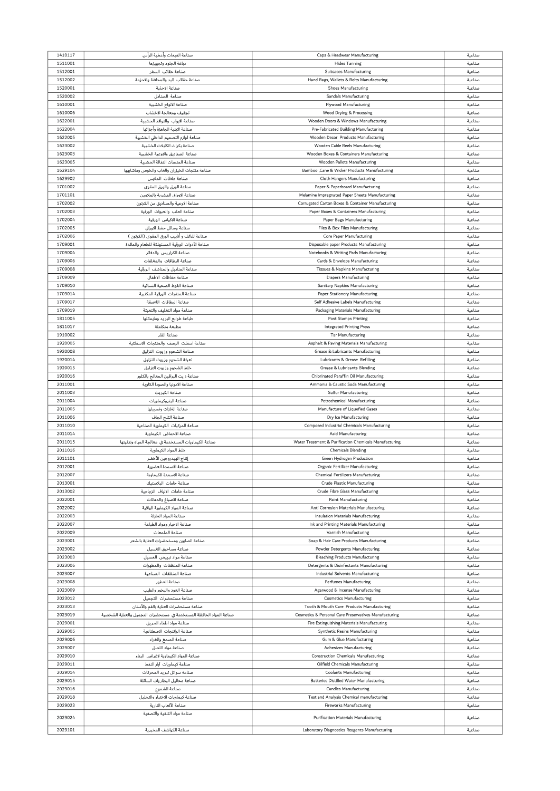| 1410117 | صناعة القبعات وأغطية الرأس                                          | Caps & Headwear Manufacturing                          | صناعية |
|---------|---------------------------------------------------------------------|--------------------------------------------------------|--------|
|         |                                                                     |                                                        |        |
| 1511001 | دباغة الجلود وتجهيزها                                               | <b>Hides Tanning</b>                                   | صناعية |
| 1512001 | صناعة حقائب السفر                                                   | <b>Suitcases Manufacturing</b>                         | صناعية |
| 1512002 | صناعة حقائب اليد والمحافظ والاحزمة                                  | Hand Bags, Wallets & Belts Manufacturing               | صناعية |
|         |                                                                     |                                                        |        |
| 1520001 | صناعة الاحذية                                                       | <b>Shoes Manufacturing</b>                             | صناعية |
| 1520002 | صناعة الصنادل                                                       | <b>Sandals Manufacturing</b>                           | صناعية |
| 1610001 | صناعة الالواح الخشبية                                               | <b>Plywood Manufacturing</b>                           |        |
|         |                                                                     |                                                        | صناعية |
| 1610006 | تجفيف ومعالجة الاخشاب                                               | Wood Drying & Processing                               | صناعية |
| 1622001 | صناعة الابواب والنوافذ الخشبية                                      | Wooden Doors & Windows Manufacturing                   | صناعية |
|         |                                                                     |                                                        |        |
| 1622004 | صناعة الابنية الجاهزة وأجزائها                                      | Pre-Fabricated Building Manufacturing                  | صناعية |
| 1622005 | صناعة لوازم التصميم الداخلي الخشبية                                 | Wooden Decor Products Manufacturing                    | صناعية |
| 1623002 | صناعة بكرات الكابلات الخشبية                                        | Wooden Cable Reels Manufacturing                       | صناعية |
|         |                                                                     |                                                        |        |
| 1623003 | صناعة الصناديق والاوعية الخشبية                                     | Wooden Boxes & Containers Manufacturing                | صناعية |
| 1623005 | صناعة المنصات النقالة الخشبية                                       | Wooden Pallets Manufacturing                           | صناعية |
| 1629104 | صناعة منتجات الخيزران والغاب والخوص وماشابهها                       | Bamboo , Cane & Wicker Products Manufacturing          | صناعية |
|         |                                                                     |                                                        |        |
| 1629902 | صناعة علاقات الملابس                                                | <b>Cloth Hangers Manufacturing</b>                     | صناعية |
| 1701002 | صناعة الورق والورق المقوى                                           | Paper & Paperboard Manufacturing                       | صناعية |
| 1701101 | صناعة الاوراق المشربة بالملامين                                     | Melamine Impregnated Paper Sheets Manufacturing        | صناعية |
|         |                                                                     |                                                        |        |
| 1702002 | صناعة الاوعية والصناديق من الكرتون                                  | Corrugated Carton Boxes & Container Manufacturing      | صناعية |
| 1702003 | صناعة العلب والعبوات الورقية                                        | Paper Boxes & Containers Manufacturing                 | صناعية |
| 1702004 | صناعة الاكياس الورقية                                               | <b>Paper Bags Manufacturing</b>                        | صناعية |
|         |                                                                     |                                                        |        |
| 1702005 | صناعة وساثل حفظ الاوراق                                             | Files & Box Files Manufacturing                        | صناعية |
| 1702006 | صناعة لفائف و اُنابيب الورق المقوى (الكرتون )                       | <b>Core Paper Manufacturing</b>                        | صناعية |
|         |                                                                     |                                                        |        |
| 1709001 | صناعة الأدوات الورقية المستهلكة للطعام والماثدة                     | Disposable paper Products Manufacturing                | صناعية |
| 1709004 | صناعة الكراريس والدفاتر                                             | Notebooks & Writing Pads Manufacturing                 | صناعية |
| 1709006 | صناعة البطاقات والمغلفات                                            | Cards & Envelops Manufacturing                         | صناعية |
|         |                                                                     |                                                        |        |
| 1709008 | صناعة المناديل والمناشف الورقية                                     | Tissues & Napkins Manufacturing                        | صناعية |
| 1709009 | صناعة حفاظات الاطفال                                                | <b>Diapers Manufacturing</b>                           | صناعية |
| 1709010 | صناعة الفوط الصحية النساثية                                         | Sanitary Napkins Manufacturing                         | صناعية |
|         |                                                                     |                                                        |        |
| 1709014 | صناعة المنتجات الورقية المكتبية                                     | <b>Paper Stationery Manufacturing</b>                  | صناعية |
| 1709017 | صناعة البطاقات اللاصقة                                              | Self Adhesive Labels Manufacturing                     | صناعية |
| 1709019 | صناعة مواد التغليف والتعبثة                                         | Packaging Materials Manufacturing                      | صناعية |
|         |                                                                     |                                                        |        |
| 1811005 | طباعة طوابع البريد ومايماثلها                                       | <b>Post Stamps Printing</b>                            | صناعية |
| 1811017 | مطبعة متكاملة                                                       | <b>Integrated Printing Press</b>                       | صناعية |
| 1910002 | صناعة القار                                                         |                                                        |        |
|         |                                                                     | <b>Tar Manufacturing</b>                               | صناعية |
| 1920005 | صناعة اسفلت الرصف والمنتجات الاسفلتية                               | Asphalt & Paving Materials Manufacturing               | صناعية |
| 1920008 | صناعة الشحوم وزيوث التزليق                                          | Grease & Lubricants Manufacturing                      | صناعية |
| 1920014 |                                                                     |                                                        |        |
|         | تعبثة الشحوم وزيوت التزليق                                          | Lubricants & Grease Refilling                          | صناعية |
| 1920015 | خلط الشحوم وزيوت التزليق                                            | <b>Grease &amp; Lubricants Blending</b>                | صناعية |
| 1920016 | صناعة ز يث البرافين المعالج بالكلور                                 | Chlorinated Paraffin Oil Manufacturing                 | صناعية |
|         |                                                                     |                                                        |        |
| 2011001 | صناعة الامونيا والصودا الكاوية                                      | Ammonia & Caustic Soda Manufacturing                   | صناعية |
| 2011003 | صناعة الكبريت                                                       | <b>Sulfur Manufacturing</b>                            | صناعية |
| 2011004 | صناعة البتروكيماويات                                                | Petrochemical Manufacturing                            | صناعية |
|         |                                                                     |                                                        |        |
| 2011005 | صناعة الغازات وتسييلها                                              | Manufacture of Liquefied Gases                         | صناعية |
| 2011006 | صناعة الثلج الجاف                                                   | Dry Ice Manufacturing                                  | صناعية |
| 2011010 | صناعة المركبات الكيماوية الصناعية                                   | Composed Industrial Chemicals Manufacturing            | صناعية |
| 2011014 |                                                                     |                                                        | صناعية |
|         | صناعة الاحماض الكيماوية                                             | <b>Acid Manufacturing</b>                              |        |
| 2011015 |                                                                     |                                                        |        |
|         | صناعة الكيماويات المستخدمة في معالجة المياه وتنقيتها                | Water Treatment & Purification Chemicals Manufacturing | صناعية |
|         |                                                                     |                                                        |        |
| 2011016 | خلط المواد الكيماوية                                                | <b>Chemicals Blending</b>                              | صناعية |
| 2011101 | إنتاج الهيدروجين الأخضر                                             | Green Hydrogen Production                              | صناعية |
| 2012001 | صناعة الاسمدة العضوية                                               | Organic Fertilizer Manufacturing                       | صناعية |
| 2012007 |                                                                     |                                                        |        |
|         | صناعة الاسمدة الكيماوية                                             | <b>Chemical Fertilizers Manufacturing</b>              | صناعية |
| 2013001 | صناعة خامات البلاستيك                                               | <b>Crude Plastic Manufacturing</b>                     | صناعية |
| 2013002 | صناعة خامات الالياف الزجاجية                                        | <b>Crude Fibre Glass Manufacturing</b>                 | صناعية |
| 2022001 |                                                                     | <b>Paint Manufacturing</b>                             |        |
|         | صناعة الاصباغ والدهانات                                             |                                                        | صناعية |
| 2022002 | صناعة المواد الكيماوية الواقية                                      | Anti Corrosion Materials Manufacturing                 | صناعية |
| 2022003 | صناعة المواد العازلة                                                | Insulation Materials Manufacturing                     | صناعية |
| 2022007 | صناعة الاحبار ومواد الطباعة                                         | Ink and Printing Materials Manufacturing               | صناعية |
|         |                                                                     |                                                        |        |
| 2022009 | صناعة الملمعات                                                      | Varnish Manufacturing                                  | صناعية |
| 2023001 | صناعة الصابون ومستحضرات العناية بالشعر                              | Soap & Hair Care Products Manufacturing                | صناعية |
| 2023002 | صناعة مساحيق الغسيل                                                 | Powder Detergents Manufacturing                        | صناعية |
|         |                                                                     |                                                        |        |
| 2023003 | صناعة مواد تبييض الغسيل                                             | <b>Bleaching Products Manufacturing</b>                | صناعية |
| 2023006 | صناعة المنظفات والمطهرات                                            | Detergents & Disinfectants Manufacturing               | صناعية |
| 2023007 | صناعة المنظفات الصناعية                                             | <b>Industrial Solvents Manufacturing</b>               | صناعية |
|         |                                                                     |                                                        |        |
| 2023008 | صناعة العطور                                                        | <b>Perfumes Manufacturing</b>                          | صناعية |
| 2023009 | صناعة العود والبخور والطيب                                          | Agarwood & Incense Manufacturing                       | صناعية |
| 2023012 | صناعة مستحضرات التجميل                                              | <b>Cosmetics Manufacturing</b>                         | صناعية |
|         |                                                                     |                                                        |        |
| 2023013 | صناعة مستحضرات العناية بالفم والأسنان                               | Tooth & Mouth Care Products Manufacturing              | صناعية |
| 2023019 | صناعة المواد الحافظة المستخدمة في مستحضرات التجميل والعناية الشخصية | Cosmetics & Personal Care Preservatives Manufacturing  | صناعية |
| 2029001 |                                                                     |                                                        |        |
|         | صناعة مواد اطفاء الحريق                                             | Fire Extinguishing Materials Manufacturing             | صناعية |
| 2029005 | صناعة الراتنجات الاصطناعية                                          | Synthetic Resins Manufacturing                         | صناعية |
| 2029006 | صناعة الصمغ والغراء                                                 | Gum & Glue Manufacturing                               | صناعية |
|         |                                                                     |                                                        |        |
| 2029007 | صناعة مواد اللصق                                                    | <b>Adhesives Manufacturing</b>                         | صناعية |
| 2029010 | صناعة المواد الكيماوية لاغراض البناء                                | <b>Construction Chemicals Manufacturing</b>            | صناعية |
| 2029011 | صناعة كيماويات آبار النفط                                           | Oilfield Chemicals Manufacturing                       | صناعية |
|         |                                                                     |                                                        |        |
| 2029014 | صناعة سوائل تبريد المحركات                                          | <b>Coolants Manufacturing</b>                          | صناعية |
| 2029015 | صناعة محاليل البطار يات السائلة                                     | <b>Batteries Distilled Water Manufacturing</b>         | صناعية |
| 2029016 | صناعة الشموع                                                        | <b>Candles Manufacturing</b>                           | صناعية |
|         |                                                                     |                                                        |        |
| 2029018 | صناعة كيماويات الاختبار والتحليل                                    | Test and Analysis Chemical manufacturing               | صناعية |
| 2029023 | صناعة الألعاب النارية                                               | <b>Fireworks Manufacturing</b>                         | صناعية |
|         | صناعة مواد التنقية والتصفية                                         |                                                        |        |
| 2029024 |                                                                     | <b>Purification Materials Manufacturing</b>            | صناعية |
| 2029101 | صناعة الكواشف المخبرية                                              | Laboratory Diagnostics Reagents Manufacturing          | صناعية |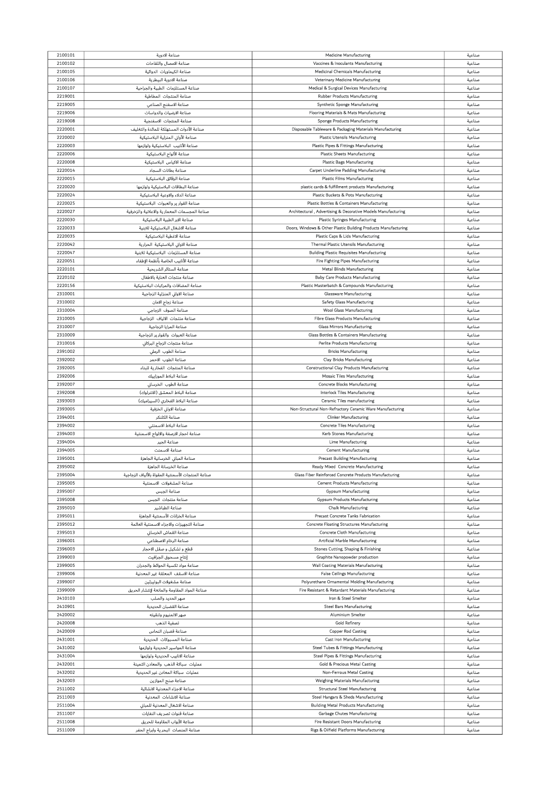| 2100101<br>2100102 | صناعة الادوية                                      | <b>Medicine Manufacturing</b>                                  | صناعية |
|--------------------|----------------------------------------------------|----------------------------------------------------------------|--------|
|                    |                                                    |                                                                |        |
|                    | صناعة الامصال واللقاحات                            | Vaccines & Inoculants Manufacturing                            | صناعية |
| 2100105            | صناعة الكيماويات الدوائية                          | <b>Medicinal Chemicals Manufacturing</b>                       | صناعية |
| 2100106            | صناعة الادوية البيطرية                             | Veterinary Medicine Manufacturing                              | صناعية |
|                    |                                                    |                                                                |        |
| 2100107            | صناعة المستلزمات الطبية والجراحية                  | Medical & Surgical Devices Manufacturing                       | صناعية |
| 2219001            | صناعة المنتجات المطاطية                            | <b>Rubber Products Manufacturing</b>                           | صناعية |
| 2219005            | صناعة الاسفنج الصناعي                              |                                                                |        |
|                    |                                                    | Synthetic Sponge Manufacturing                                 | صناعية |
| 2219006            | صناعة الارضيات والدواسات                           | Flooring Materials & Mats Manufacturing                        | صناعية |
| 2219008            | صناعة المنتجات الاسفنجية                           | Sponge Products Manufacturing                                  | صناعية |
|                    |                                                    |                                                                |        |
| 2220001            | صناعة الأدوات المستهلكة للمائدة والتغليف           | Disposable Tableware & Packaging Materials Manufacturing       | صناعية |
| 2220002            | صناعة الأوانى المنزلية البلاستيكية                 | <b>Plastic Utensils Manufacturing</b>                          | صناعية |
|                    |                                                    |                                                                |        |
| 2220003            | صناعة الأنابيب البلاستيكية ولوازمها                | <b>Plastic Pipes &amp; Fittings Manufacturing</b>              | صناعية |
| 2220006            | صناعة الألواح البلاستيكية                          | <b>Plastic Sheets Manufacturing</b>                            | صناعية |
| 2220008            | صناعة الاكياس البلاستيكية                          | <b>Plastic Bags Manufacturing</b>                              |        |
|                    |                                                    |                                                                | صناعية |
| 2220014            | صناعة بطانات السجاد                                | Carpet Underline Padding Manufacturing                         | صناعية |
| 2220015            | صناعة الرقائق البلاستيكية                          | <b>Plastic Films Manufacturing</b>                             | صناعية |
|                    |                                                    |                                                                |        |
| 2220020            | صناعة البطاقات البلاستيكية ولوازمها                | plastic cards & fulfillment products Manufacturing             | صناعية |
| 2220024            | صناعة الدلاء والاوعية البلاستيكية                  | Plastic Buckets & Pots Manufacturing                           | صناعية |
|                    |                                                    |                                                                |        |
| 2220025            | صناعة القوار ير والعبوات  البلاستيكية              | Plastic Bottles & Containers Manufacturing                     | صناعية |
| 2220027            | صناعة المجسمات المعمار ية والاعلانية والزخرفية     | Architectural, Advertising & Decorative Models Manufacturing   | صناعية |
| 2220030            | صناعة الابر الطبية البلاستيكية                     | <b>Plastic Syringes Manufacturing</b>                          | صناعية |
|                    |                                                    |                                                                |        |
| 2220033            | صناعة الاشغال البلاستيكية للابنية                  | Doors, Windows & Other Plastic Building Products Manufacturing | صناعية |
| 2220035            | صناعة الاغطية البلاستيكية                          | Plastic Caps & Lids Manufacturing                              | صناعية |
|                    |                                                    |                                                                |        |
| 2220042            | صناعة الاوانى البلاستيكية الحرارية                 | <b>Thermal Plastic Utensils Manufacturing</b>                  | صناعية |
| 2220047            | صناعة المستلزمات البلاستيكية للابنية               | <b>Building Plastic Requisites Manufacturing</b>               | صناعية |
| 2220051            | صناعة الأنابيب الخاصة بأنظمة الإطفاء               |                                                                |        |
|                    |                                                    | Fire Fighting Pipes Manufacturing                              | صناعية |
| 2220101            | صناعة الستائر الشريحية                             | <b>Metal Blinds Manufacturing</b>                              | صناعية |
| 2220102            | صناعة منتجات العناية بالاطفال                      | <b>Baby Care Products Manufacturing</b>                        | صناعية |
|                    |                                                    |                                                                |        |
| 2220156            | صناعة المضافات والمركبات البلاستيكية               | Plastic Masterbatch & Compounds Manufacturing                  | صناعية |
| 2310001            | صناعة الاوانى المنزلية الزجاجية                    | <b>Glassware Manufacturing</b>                                 | صناعية |
|                    |                                                    |                                                                |        |
| 2310002            | صناعة زجاج الامان                                  | <b>Safety Glass Manufacturing</b>                              | صناعية |
| 2310004            | صناعة الصوف الزجاجى                                | <b>Wool Glass Manufacturing</b>                                | صناعية |
|                    |                                                    | Fibre Glass Products Manufacturing                             |        |
| 2310005            | صناعة منتجات الالياف الزجاجية                      |                                                                | صناعية |
| 2310007            | صناعة المرايا الزجاجية                             | <b>Glass Mirrors Manufacturing</b>                             | صناعية |
| 2310009            | صناعة العبوات  والقوار ير الزجاجية                 | Glass Bottles & Containers Manufacturing                       | صناعية |
|                    |                                                    |                                                                |        |
| 2310016            | صناعة منتجات الزجاج البركاني                       | <b>Perlite Products Manufacturing</b>                          | صناعية |
| 2391002            | صناعة الطوب الرملى                                 | <b>Bricks Manufacturing</b>                                    | صناعية |
|                    |                                                    |                                                                |        |
| 2392002            | صناعة الطوب الاحمر                                 | <b>Clay Bricks Manufacturing</b>                               | صناعية |
| 2392005            | صناعة المنتجات الفخارية للبناء                     | <b>Constructional Clay Products Manufacturing</b>              | صناعية |
|                    |                                                    |                                                                |        |
| 2392006            | صناعة البلاط الموزاييك                             | <b>Mosaic Tiles Manufacturing</b>                              | صناعية |
| 2392007            | صناعة الطوب الخرساني                               | Concrete Blocks Manufacturing                                  | صناعية |
| 2392008            | صناعة البلاط المعشق (الانترلوك)                    | <b>Interlock Tiles Manufacturing</b>                           | صناعية |
|                    |                                                    |                                                                |        |
| 2393003            | صناعة البلاط الفخاري (السيراميك)                   | <b>Ceramic Tiles manufacturing</b>                             | صناعية |
| 2393005            | صناعة الاواني الخزفية                              | Non-Structural Non-Refractory Ceramic Ware Manufacturing       | صناعية |
|                    |                                                    |                                                                |        |
| 2394001            | صناعة الكلنكر                                      | <b>Clinker Manufacturing</b>                                   | صناعية |
| 2394002            | صناعة البلاط الاسمنتى                              | <b>Concrete Tiles Manufacturing</b>                            | صناعية |
| 2394003            | صناعة احجار الارصفة والالواح الاسمنتية             | Kerb Stones Manufacturing                                      | صناعية |
|                    |                                                    |                                                                |        |
| 2394004            | صناعة الجير                                        | Lime Manufacturing                                             | صناعية |
| 2394005            | صناعة الاسمنت                                      | <b>Cement Manufacturing</b>                                    |        |
|                    |                                                    |                                                                |        |
| 2395001            |                                                    |                                                                | صناعية |
|                    | صناعة المبانى الخرسانية الجاهزة                    | <b>Precast Building Manufacturing</b>                          | صناعية |
| 2395002            | صناعة الخرسانة الجاهزة                             | Ready Mixed Concrete Manufacturing                             | صناعية |
|                    |                                                    |                                                                |        |
| 2395004            | صناعة المنتجات الأسمنتية المقواة بالألياف الزجاجية | Glass Fiber Reinforced Concrete Products Manufacturing         | صناعية |
| 2395005            | صناعة المشغولات الاسمنتية                          | <b>Cement Products Manufacturing</b>                           | صناعية |
| 2395007            |                                                    | <b>Gypsum Manufacturing</b>                                    | صناعية |
|                    | صناعة الجبس                                        |                                                                |        |
| 2395008            | صناعة منتجات الجبس                                 | <b>Gypsum Products Manufacturing</b>                           | صناعية |
| 2395010            | صناعة الطباشير                                     | <b>Chalk Manufacturing</b>                                     | صناعية |
|                    |                                                    |                                                                |        |
| 2395011            | صناعة الخزانات الأسمنتية الجاهزة                   | Precast Concrete Tanks Fabrication                             | صناعية |
| 2395012            | صناعة التجهيزات والاجزاء الاسمنتية العاثمة         | <b>Concrete Floating Structures Manufacturing</b>              | صناعية |
| 2395013            | صناعة القماش الخرساني                              | Concrete Cloth Manufacturing                                   | صناعية |
|                    |                                                    |                                                                |        |
| 2396001            | صناعة الرخام الاصطناعي                             | Artificial Marble Manufacturing                                | صناعية |
| 2396003            | قطع و تشكيل و صقل الاحجار                          | Stones Cutting, Shaping & Finishing                            | صناعية |
|                    |                                                    |                                                                |        |
| 2399003            | إنتاج مسحوق الجرافيت                               | Graphite Nanopowder production                                 | صناعية |
| 2399005            | صناعة مواد تكسية الحوائط والجدران                  | Wall Coating Materials Manufacturing                           | صناعية |
| 2399006            | صناعة الاسقف المعلقة غير المعدنية                  | <b>False Ceilings Manufacturing</b>                            | صناعية |
|                    |                                                    |                                                                |        |
| 2399007            | صناعة مشغولات البوليرثين                           | Polyurethane Ornamental Molding Manufacturing                  | صناعية |
| 2399009            | صناعة المواد المقاومة والمانعة لإنتشار الحريق      | Fire Resistant & Retardant Materials Manufacturing             | صناعية |
|                    |                                                    |                                                                |        |
| 2410103            | صهر الحديد والصلب                                  | Iron & Steel Smelter                                           | صناعية |
| 2410901            | صناعة القضبان الحديدية                             | <b>Steel Bars Manufacturing</b>                                | صناعية |
|                    |                                                    |                                                                |        |
| 2420002            | صهر الالمنيوم وتنقيته                              | Aluminium Smelter                                              | صناعية |
| 2420008            | تصفية الذهب                                        | <b>Gold Refinery</b>                                           | صناعية |
| 2420009            | صناعة قضبان النحاس                                 | <b>Copper Rod Casting</b>                                      | صناعية |
|                    |                                                    |                                                                |        |
| 2431001            | صناعة المسبوكات الحديدية                           | <b>Cast Iron Manufacturing</b>                                 | صناعية |
| 2431002            | صناعة المواسير الحديدية ولوازمها                   | <b>Steel Tubes &amp; Fittings Manufacturing</b>                | صناعية |
|                    |                                                    |                                                                |        |
| 2431004            | صناعة الانابيب الحديدية ولوازمها                   | Steel Pipes & Fittings Manufacturing                           | صناعية |
| 2432001            | عمليات سباكة الذهب والمعادن الثمينة                | <b>Gold &amp; Precious Metal Casting</b>                       | صناعية |
| 2432002            |                                                    | Non-Ferrous Metal Casting                                      | صناعية |
|                    | عمليات سباكة المعادن غير الحديدية                  |                                                                |        |
| 2432003            | صناعة صنج الموازين                                 | <b>Weighing Materials Manufacturing</b>                        | صناعية |
| 2511002            | صناعة الاجزاء المعدنية الانشاثية                   | <b>Structural Steel Manufacturing</b>                          | صناعية |
|                    |                                                    |                                                                |        |
| 2511003            | صناعة الانشاءات المعدنية                           | Steel Hangars & Sheds Manufacturing                            | صناعية |
| 2511004            | صناعة الاشغال المعدنية للمبانى                     | <b>Building Metal Products Manufacturing</b>                   | صناعية |
| 2511007            |                                                    |                                                                |        |
|                    | صناعة قنوات تصريف النفايات                         | Garbage Chutes Manufacturing                                   | صناعية |
| 2511008            | صناعة الأبواب المقاومة للحريق                      | Fire Resistant Doors Manufacturing                             | صناعية |
| 2511009            | صناعة المنصات البحرية وابراج الحفر                 | Rigs & Oilfield Platforms Manufacturing                        | صناعية |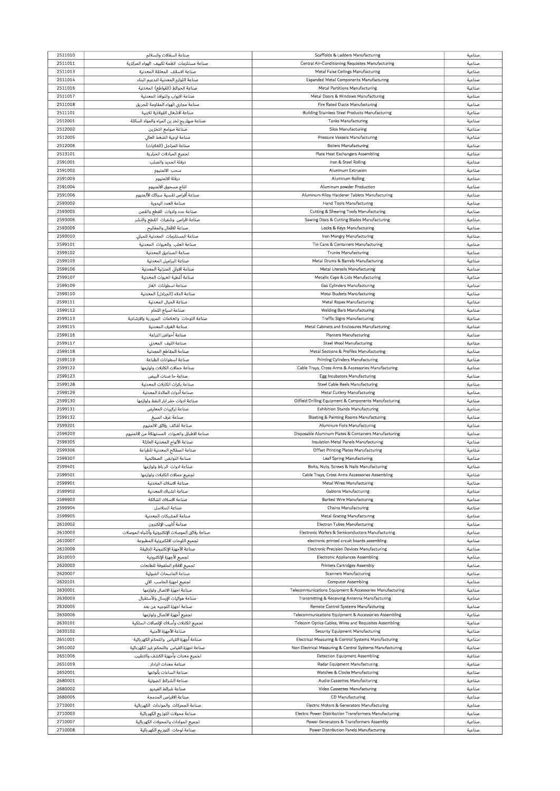|                    | صناعة السقالات والسلالم                                               | Scaffolds & Ladders Manufacturing                                                   | صناعية           |
|--------------------|-----------------------------------------------------------------------|-------------------------------------------------------------------------------------|------------------|
| 2511011            | صناعة مستلزمات انظمة تكييف الهواء المركزية                            | Central Air-Conditioning Requisites Manufacturing                                   | صناعية           |
| 2511013            | صناعة الاسقف المعلقة المعدنية                                         | Metal False Ceilings Manufacturing                                                  | صناعية           |
| 2511014            | صناعة اللوازم المعدنية لتدعيم البناء                                  | <b>Expanded Metal Components Manufacturing</b>                                      | صناعية           |
| 2511016            | صناعة الحوائط (القواطع) المعدنية                                      | <b>Metal Partitions Manufacturing</b>                                               | صناعية           |
| 2511017            | صناعة الابواب والنوافذ المعدنية                                       | Metal Doors & Windows Manufacturing                                                 | صناعية           |
| 2511018            | صناعة مجارى الهواء المقاومة للحريق                                    | Fire Rated Ducts Manufacturing                                                      | صناعية           |
| 2511101            | صناعة الاشغال الفولاذية للابنية                                       | <b>Building Stainless Steel Products Manufacturing</b>                              | صناعية           |
| 2512001            | صناعة صهار يج تخز ين المياه والمواد السائلة                           | <b>Tanks Manufacturing</b>                                                          | صناعية           |
| 2512002            | صناعة صوامع التخزين                                                   | <b>Silos Manufacturing</b>                                                          | صناعية           |
| 2512005            | صناعة اوعية الضغط العالي                                              | Pressure Vessels Manufacturing                                                      | صناعية           |
| 2512006            | صناعة المراجل (الغلايات)                                              | <b>Boilers Manufacturing</b>                                                        | صناعية           |
| 2513101            | تجميع المبادلات الحرارية                                              | <b>Plate Heat Exchangers Assembling</b>                                             | صناعية           |
| 2591001            | درفلة الحديد والصلب                                                   | Iron & Steel Rolling                                                                | صناعية           |
| 2591002            | سحب الالمنيوم                                                         | <b>Aluminum Extrusion</b>                                                           | صناعية           |
| 2591003            | درفلة الالمنيوم                                                       | Aluminum Rolling                                                                    | صناعية           |
| 2591004            | انتاج مسحوق الالمنيوم                                                 | Aluminum powder Production                                                          | صناعية           |
| 2591006            | صناعة أقراص تقسية سبائك الألمنيوم                                     | Aluminum Alloy Hardener Tablets Manufacturing                                       | صناعية           |
| 2593002            | صناعة العدد اليدوية                                                   | <b>Hand Tools Manufacturing</b>                                                     | صناعية           |
| 2593005            | صناعة عدد وادوات القطع والقص                                          | Cutting & Shearing Tools Manufacturing                                              | صناعية           |
| 2593006            | صناعة اقراص وشفرات القطع والنشر                                       | Sawing Discs & Cutting Blades Manufacturing                                         | صناعية           |
| 2593009            | صناعة الاقفال والمفاتيح                                               | Locks & Keys Manufacturing                                                          | صناعية           |
| 2593010            | صناعة المستلزمات المعدنية للمبانى                                     | Iron Mongry Manufacturing                                                           | صناعية           |
| 2599101            | صناعة العلب والعبوات المعدنية                                         | Tin Cans & Containers Manufacturing                                                 | صناعية           |
| 2599102            | صناعة الصناديق المعدنية                                               | <b>Trunks Manufacturing</b>                                                         | صناعية           |
| 2599103            | صناعة البراميل المعدنية                                               | Metal Drums & Barrels Manufacturing                                                 | صناعية           |
| 2599106            | صناعة الاواني المنزلية المعدنية                                       |                                                                                     |                  |
| 2599107            | صناعة أغطية العبوات المعدنية                                          | <b>Metal Utensils Manufacturing</b><br>Metallic Caps & Lids Manufacturing           | صناعية<br>صناعية |
| 2599109            | صناعة اسطوانات الغاز                                                  |                                                                                     |                  |
|                    |                                                                       | <b>Gas Cylinders Manufacturing</b>                                                  | صناعية           |
| 2599110            | صناعة الدلاء (الجرادل) المعدنية                                       | <b>Metal Buckets Manufacturing</b>                                                  | صناعية           |
| 2599111            | صناعة الحبال المعدنية                                                 | <b>Metal Ropes Manufacturing</b>                                                    | صناعية           |
| 2599112            | صناعة اسياخ اللحام                                                    | <b>Welding Bars Manufacturing</b>                                                   | صناعية           |
| 2599113            | صناعة اللوحات والعلامات المرورية والارشادية                           | <b>Traffic Signs Manufacturing</b>                                                  | صناعية           |
| 2599115            | صناعة الغرف المعدنية                                                  | Metal Cabinets and Enclosures Manufacturing                                         | صناعية           |
| 2599116            | صناعة أحواض الزراعة                                                   | <b>Planters Manufacturing</b>                                                       | صناعية           |
| 2599117            | صناعة الليف المعدني                                                   | <b>Steel Wool Manufacturing</b>                                                     | صناعية           |
| 2599118            | صناعة المقاطع المعدنية                                                | Metal Sections & Profiles Manufacturing                                             | صناعية           |
| 2599119            | صناعة اسطوانات الطباعة                                                | <b>Printing Cylinders Manufacturing</b>                                             | صناعية           |
| 2599122            | صناعة حمالات الكابلات ولوازمها                                        | Cable Trays, Cross Arms & Accessories Manufacturing                                 | صناعية           |
| 2599123            | صناعة حا ضنات البيض                                                   | <b>Egg Incubators Manufacturing</b>                                                 | صناعية           |
| 2599128            | صناعة بكرات الكابلات المعدنية                                         | <b>Steel Cable Reels Manufacturing</b>                                              | صناعية           |
| 2599129            | صناعة أدوات المائدة المعدنية                                          | <b>Metal Cutlery Manufacturing</b>                                                  | صناعية           |
| 2599130            | صناعة ادوات حفر ابار النفط ولوازمها                                   | Oilfield Drilling Equipment & Components Manufacturing                              | صناعية           |
| 2599131            | صناعة تركيبات المعارض                                                 | <b>Exhibition Stands Manufacturing</b>                                              | صناعية           |
|                    |                                                                       |                                                                                     |                  |
| 2599132            | صناعة غرف الصبغ                                                       | <b>Blasting &amp; Painting Rooms Manufacturing</b>                                  | صناعية           |
| 2599201            | صناعة لفائف رقائق الالمنيوم                                           | Aluminum Foils Manufacturing                                                        | صناعية           |
| 2599203            | صناعة الاطباق والعبوات المستهلكة من الالمنيوم                         | Disposable Aluminum Plates & Containers Manufacturing                               | صناعية           |
| 2599305            | صناعة الألواح المعدنية العازلة                                        | Insulation Metal Panels Manufacturing                                               | صناعية           |
| 2599306            | صناعة الصفائح المعدنية للطباعة                                        | <b>Offset Printing Plates Manufacturing</b>                                         | صناعية           |
| 2599307            | صناعة النوابض الصفائحية                                               | Leaf Spring Manufacturing                                                           | صناعية           |
| 2599401            | صناعة ادوات الرباط ولوازمها                                           | Bolts, Nuts, Screws & Nails Manufacturing                                           | صناعية           |
| 2599501            | تجميع حمالات الكابلات ولوازمها                                        | Cable Trays, Cross Arms Accessories Assembling                                      | صناعية           |
| 2599901            | صناعة الاسلاك المعدنية                                                | <b>Metal Wires Manufacturing</b>                                                    | صناعية           |
| 2599902            | صناعة الشباك المعدنية                                                 | <b>Gabions Manufacturing</b>                                                        | صناعية           |
| 2599903            | صناعة الاسلاك الشائكة                                                 | <b>Barbed Wire Manufacturing</b>                                                    | صناعية           |
| 2599904            | صناعة السلاسل                                                         | <b>Chains Manufacturing</b>                                                         | صناعية           |
| 2599905            | صناعة المشبكات المعدنية                                               | <b>Metal Grating Manufacturing</b>                                                  | صناعية           |
| 2610002            | صناعة أنابيب الإلكترون                                                | <b>Electron Tubes Manufacturing</b>                                                 | صناعية           |
| 2610003            | صناعة رقائق الموصلات الإلكترونية وأشباه الموصلات                      | Electronic Wafers & Semiconductors Manufacturing                                    | صناعية           |
| 2610007            | تجميع اللوحات الالكترونية المطبوعة                                    | electronic printed circuit boards assembling                                        | صناعية           |
| 2610009            | صناعة الأجهزة الإلكترونية الدقيقة                                     | <b>Electronic Precision Devices Manufacturing</b>                                   | صناعية           |
| 2610010            | تجميع الأجهزة الإلكترونية                                             | <b>Electronic Appliances Assembling</b>                                             | صناعية           |
| 2620003            | تجميع الافلام الملفوفة للطابعات                                       | <b>Printers Cartridges Assembly</b>                                                 | صناعية           |
| 2620007            | صناعة الماسحات الضوئية                                                | <b>Scanners Manufacturing</b>                                                       | صناعية           |
| 2620101            | تجميع اجهزة الحاسب الالى                                              | <b>Computer Assembling</b>                                                          | صناعية           |
| 2630001            | صناعة اجهزة الاتصال ولوازمها                                          | Telecommunications Equipment & Accessories Manufacturing                            | صناعية           |
| 2630003            | صناعة هواثيات الإرسال والأستقبال                                      | Transmitting & Receiving Antenna Manufacturing                                      | صناعية           |
| 2630005            | صناعة اجهزة التوجيه عن بعد                                            | Remote Control Systems Manufacturing                                                | صناعية           |
| 2630006            |                                                                       | Telecommunications Equipment & Accessories Assembling                               | صناعية           |
|                    | تجميع أجهزة الاتصال ولوازمها                                          |                                                                                     |                  |
| 2630101            | تجميع الكابلات وأسلاك الإتصالات السلكية                               | Telecom Optics Cables, Wires and Requisites Assembling                              | صناعية           |
| 2630102            | صناعة الأجهزة الأمنية                                                 | <b>Security Equipment Manufacturing</b>                                             | صناعية           |
| 2651001            | صناعة أجهزة القياس والتحكم الكهربائية                                 | Electrical Measuring & Control Systems Manufacturing                                | صناعية           |
| 2651002            | صناعة اجهزة القياس والتحكم غير الكهربائية                             | Non Electrical Measuring & Control Systems Manufacturing                            | صناعية           |
| 2651006            | تجميع معدات وأجهزة الكشف والتنقيب                                     | <b>Detection Equipment Assembling</b>                                               | صناعية           |
| 2651019            | صناعة معدات الرادار                                                   | <b>Radar Equipment Manufacturing</b>                                                | صناعية           |
| 2652001            | صناعة الساعات بأنواعها                                                | Watches & Clocks Manufacturing                                                      | صناعية           |
| 2680001            | صناعة الشرائط الصوتية                                                 | Audio Cassettes Manufacturing                                                       | صناعية           |
| 2680002            | صناعة شرائط الفيديو                                                   | Video Cassettes Manufacturing                                                       | صناعية           |
| 2680005            | صناعة الاقراص المدمجة                                                 | <b>CD Manufacturing</b>                                                             | صناعية           |
| 2710001            | صناعة المحركات والمولدات الكهربائية                                   | Electric Motors & Generators Manufacturing                                          | صناعية           |
| 2710003            | صناعة محولات التوزيع الكهربائية                                       | Electric Power Distribution Transformers Manufacturing                              | صناعية           |
| 2710007<br>2710008 | تجميع المولدات والمحولات الكهربائية<br>صناعة لوحات التوزيع الكهربائية | Power Generators & Transformers Assembly<br>Power Distribution Panels Manufacturing | صناعية<br>صناعية |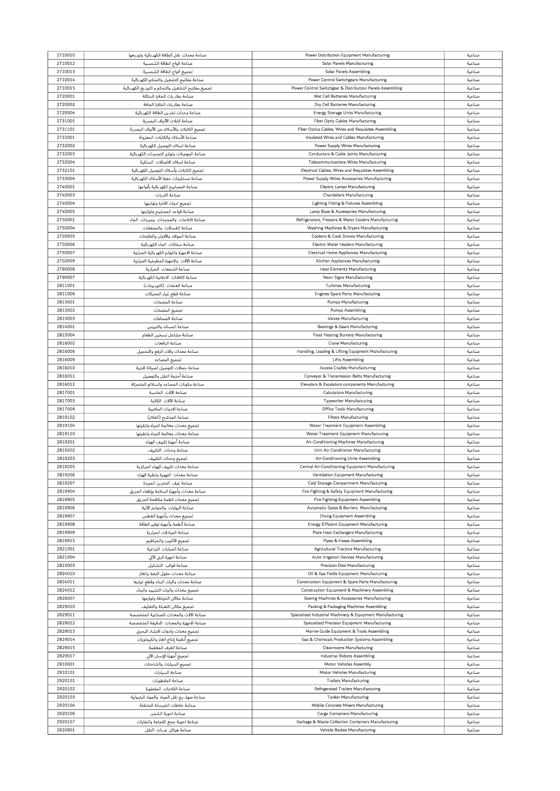| 2710010            | صناعة معدات نقل الطاقة الكهربائية وتوزيعها                   | Power Distribution Equipment Manufacturing                                          | صناعية           |
|--------------------|--------------------------------------------------------------|-------------------------------------------------------------------------------------|------------------|
| 2710012            | صناعة الواح الطاقة الشمسية                                   | Solar Panels Manufacturing                                                          | صناعية           |
|                    |                                                              |                                                                                     |                  |
| 2710013            | تجميع الواح الطاقة الشمسية                                   | <b>Solar Panels Assembling</b>                                                      | صناعية           |
| 2710014            | صناعة مفاتيح التشغيل والتحكم الكهربائية                      | Power Control Switchgears Manufacturing                                             | صناعية           |
| 2710015            | تجميع مفاتيح التشغيل والتحكم و التوزيع الكهربائية            | Power Control Switchgear & Distribution Panels Assembling                           | صناعية           |
| 2720001            | صناعة بطار يات الخلايا السائلة                               | Wet Cell Batteries Manufacturing                                                    | صناعية           |
| 2720002            |                                                              |                                                                                     |                  |
|                    | صناعة بطاريات الخلايا الجافة                                 | Dry Cell Batteries Manufacturing                                                    | صناعية           |
| 2720004            | صناعة وحداث تخز ين الطاقة الكهربائية                         | <b>Energy Storage Units Manufacturing</b>                                           | صناعية           |
| 2731001            | صناعة كابلات الألياف البصرية                                 | <b>Fiber Optic Cables Manufacturing</b>                                             | صناعية           |
| 2731101            | تجميع الكابلات والأسلاك من الألياف البصرية                   | Fiber Optics Cables, Wires and Requisites Assembling                                | صناعية           |
| 2732001            | صناعة الأسلاك والكابلات المعزولة                             | Insulated Wires and Cables Manufacturing                                            | صناعية           |
|                    |                                                              |                                                                                     |                  |
| 2732002            | صناعة اسلاك التوصيل الكهربائية                               | Power Supply Wires Manufacturing                                                    | صناعية           |
| 2732003            | صناعة الموصلات ولوازم التمديدات الكهربائية                   | <b>Conductors &amp; Cable Joints Manufacturing</b>                                  | صناعية           |
| 2732004            | صناعة اسلاك الاتصالات السلكية                                | <b>Telecommunications Wires Manufacturing</b>                                       | صناعية           |
| 2732101            | تجميع الكابلات وأسلاك التوصيل الكهربائية                     | Electrical Cables, Wires and Requisites Assembling                                  | صناعية           |
|                    |                                                              |                                                                                     |                  |
| 2733004            | صناعة مستلزمات حفظ الأسلاك الكهربائية                        | Power Supply Wires Accessories Manufacturing                                        | صناعية           |
| 2740001            | صناعة المصابيح الكهر باثية بأنواعها                          | <b>Electric Lamps Manufacturing</b>                                                 | صناعية           |
| 2740003            | صناعة الثريات                                                | <b>Chandeliers Manufacturing</b>                                                    | صناعية           |
| 2740004            | تجميع ادوات الانارة ولوازمها                                 | Lighting Fitting & Fixtures Assembling                                              | صناعية           |
| 2740005            |                                                              |                                                                                     |                  |
|                    | صناعة قواعد المصابيح ولوازمها                                | Lamp Base & Accessories Manufacturing                                               | صناعية           |
| 2750001            | صناعة الثلاجات والمجمدات ومبردات الماء                       | Refrigerators, Freezers & Water Coolers Manufacturing                               | صناعية           |
| 2750004            | صناعة الغسالات والمجففات                                     | Washing Machines & Dryers Manufacturing                                             | صناعية           |
| 2750005            | صناعة المواقد والأفران والطابخات                             | Cookers & Cook Stoves Manufacturing                                                 | صناعية           |
| 2750006            | صناعة سخانات الماء الكهربائية                                | Electric Water Heaters Manufacturing                                                | صناعية           |
|                    |                                                              |                                                                                     |                  |
| 2750007            | صناعة الاجهزة واللوازم الكهر باثية المنزلية                  | <b>Electrical Home Appliances Manufacturing</b>                                     | صناعية           |
| 2750009            | صناعة الآلات والاجهزة المطبخية المنزلية                      | Kitchen Appliances Manufacturing                                                    | صناعية           |
| 2790006            | صناعة الشمعات الحرارية                                       | <b>Heat Elements Manufacturing</b>                                                  | صناعية           |
| 2790007            | صناعة اللافتات الاعلانية الكهربائية                          | Neon Signs Manufacturing                                                            | صناعية           |
|                    |                                                              |                                                                                     |                  |
| 2811001            | صناعة العنفات (التوربينات)                                   | <b>Turbines Manufacturing</b>                                                       | صناعية           |
| 2811006            | صناعة قطع غيار المحركات                                      | <b>Engines Spare Parts Manufacturing</b>                                            | صناعية           |
| 2813001            | صناعة المضخات                                                | <b>Pumps Manufacturing</b>                                                          | صناعية           |
| 2813002            | تجميع المضخات                                                | <b>Pumps Assembling</b>                                                             | صناعية           |
| 2813003            | صناعة الصمامات                                               | <b>Valves Manufacturing</b>                                                         | صناعية           |
|                    |                                                              |                                                                                     |                  |
| 2814001            | صناعة المساند والتروس                                        | Bearings & Gears Manufacturing                                                      | صناعية           |
| 2815004            | صناعة مشاعل تسخين الطعام                                     | <b>Food Heating Burners Manufacturing</b>                                           | صناعية           |
| 2816002            | صناعة الرافعات                                               | <b>Crane Manufacturing</b>                                                          | صناعية           |
| 2816006            | صناعة معدات والات الرفع والتحميل                             | Handling, Loading & Lifting Equipment Manufacturing                                 | صناعية           |
|                    |                                                              |                                                                                     |                  |
| 2816009            | تجميع المصاعد                                                | <b>Lifts Assembling</b>                                                             | صناعية           |
| 2816010            | صناعة حمالات التوصيل لصيانة الابنية                          | <b>Access Cradles Manufacturing</b>                                                 | صناعية           |
| 2816011            | صناعة أحزمة النقل والتوصيل                                   | Conveyor & Transmission Belts Manufacturing                                         | صناعية           |
| 2816012            | صناعة مكونات المصاعد والسلالم المتحركة                       | Elevators & Escalators components Manufacturing                                     | صناعية           |
| 2817001            | صناعة الآلات الحاسبة                                         |                                                                                     |                  |
|                    |                                                              | <b>Calculators Manufacturing</b>                                                    | صناعية           |
| 2817003            | صناعة الآلات الكاتبة                                         | <b>Typewriter Manufacturing</b>                                                     | صناعية           |
|                    |                                                              |                                                                                     |                  |
| 2817009            | صناعة الادوات المكتبية                                       | Office Tools Manufacturing                                                          | صناعية           |
| 2819102            |                                                              | <b>Filters Manufacturing</b>                                                        | صناعية           |
|                    | صناعة المراشح (الفلاتر)                                      |                                                                                     |                  |
| 2819104            | تجميع معدات معالجة المياه وتنقيتها                           | Water Treatment Equipment Assembling                                                | صناعية           |
| 2819110            | صناعة معدات معالجة المياه وتنقيتها                           | Water Treatment Equipment Manufacturing                                             | صناعية           |
| 2819201            | صناعة أجهزة تكييف الهواء                                     | Air-Conditioning Machines Manufacturing                                             | صناعية           |
| 2819202            | صناعة وحدات التكييف                                          | Unit Air-Conditioner Manufacturing                                                  | صناعية           |
| 2819203            |                                                              |                                                                                     |                  |
|                    | تجميع وحدات التكييف                                          | Air-Conditioning Units Assembling                                                   | صناعية           |
| 2819205            | صناعة معدات تكبيف الهواء المركزية                            | Central Air-Conditioning Equipment Manufacturing                                    | صناعية           |
| 2819206            | صناعة معدات التهوية وتنقية الهواء                            | Ventilation Equipment Manufacturing                                                 | صناعية           |
| 2819207            | صناعة غرف التخزين المبردة                                    | Cold Storage Compartment Manufacturing                                              | صناعية           |
| 2819904            | صناعة معدات وأجهزة السلامة وإطفاء الحريق                     | Fire Fighting & Safety Equipment Manufacturing                                      | صناعية           |
|                    |                                                              |                                                                                     |                  |
| 2819905            | تجميع معدات انظمة مكافحة الحريق                              | Fire Fighting Equipment Assembling                                                  | صناعية           |
| 2819906            | صناعة البوابات والحواجز الآلية                               | Automatic Gates & Barriers Manufacturing                                            | صناعية           |
| 2819907            | تجميع معدات وأجهزة الغطس                                     | Diving Equipment Assembling                                                         | صناعية           |
| 2819908            | صناعة أنظمة وأجهزة توفير الطاقة                              | Energy Efficient Equipment Manufacturing                                            | صناعية           |
| 2819909            | صناعة المبادلات الحرارية                                     | Plate Heat Exchangers Manufacturing                                                 | صناعية           |
|                    |                                                              |                                                                                     |                  |
| 2819915            | تجميع الأنابيب والخراطيم                                     | Pipes & Hoses Assembling                                                            | صناعية           |
| 2821001            | صناعة الجرارات الزراعية                                      | <b>Agricultural Tractors Manufacturing</b>                                          | صناعية           |
| 2821004            | صناعة اجهزة الري الآلي                                       | Auto Irrigation Devices Manufacturing                                               | صناعية           |
| 2823003            | صناعة قوالب التشكيل                                          | <b>Precision Dies Manufacturing</b>                                                 | صناعية           |
| 2824010            |                                                              |                                                                                     |                  |
|                    | صناعة معدات حقول النفط والغاز                                | Oil & Gas Fields Equipment Manufacturing                                            | صناعية           |
| 2824011            | صناعة معدات واليات البناء وقطع غيارها                        | Construction Equipment & Spare Parts Manufacturing                                  | صناعية           |
| 2824012            | تجميع معدات واليات التشييد والبناء                           | <b>Construction Equipment &amp; Machinery Assembling</b>                            | صناعية           |
| 2826007            | صناعة مكاثن الخياطة ولوازمها                                 | Sewing Machines & Accessories Manufacturing                                         | صناعية           |
| 2829010            | تجميع مكائن التعبثة والتغليف                                 | Packing & Packaging Machines Assembling                                             | صناعية           |
|                    |                                                              |                                                                                     |                  |
| 2829011            | صناعة الآلات والمعدات الصناعية المتخصصة                      | Specialized Industrial Machinery & Equipment Manufacturing                          | صناعية           |
| 2829012            | صناعة الاجهزة والمعدات الدقيقة المتخصصة                      | Specialized Precision Equipment Manufacturing                                       | صناعية           |
| 2829013            | تجميع معدات وادوات الارشاد البحري                            | Marine Guide Equipment & Tools Assembling                                           | صناعية           |
| 2829014            | تجميع أنظمة إنتاج الغاز والكيماويات                          | Gas & Chemicals Production Systems Assembling                                       | صناعية           |
|                    |                                                              |                                                                                     |                  |
| 2829015            | صناعة الغرف المعقمة                                          | <b>Cleanrooms Manufacturing</b>                                                     | صناعية           |
| 2829017            | تجميع أجهزة الإنسان الآلى                                    | Industrial Robots Assembling                                                        | صناعية           |
| 2910001            | تجميع السيارات والشاحنات                                     | <b>Motor Vehicles Assembly</b>                                                      | صناعية           |
| 2910101            | صناعة السيارات                                               | Motor Vehicles Manufacturing                                                        | صناعية           |
| 2920101            | صناعة المقطورات                                              | <b>Trailers Manufacturing</b>                                                       | صناعية           |
|                    |                                                              |                                                                                     |                  |
| 2920102            | صناعة الثلاجات المقطورة                                      | <b>Refrigerated Trailers Manufacturing</b>                                          | صناعية           |
| 2920103            | صناعة صهار يج نقل المياه  والمواد البترولية                  | <b>Tanker Manufacturing</b>                                                         | صناعية           |
| 2920104            | صناعة خلاطات الخرسانة المتنقلة                               | Mobile Concrete Mixers Manufacturing                                                | صناعية           |
| 2920106            | صناعة احوية الشحن                                            | Cargo Containers Manufacturing                                                      | صناعية           |
|                    |                                                              |                                                                                     |                  |
| 2920107<br>2920901 | صناعة احوية جمع القمامة والنفايات<br>صناعة هياكل عربات النقل | Garbage & Waste Collection Containers Manufacturing<br>Vehicle Bodies Manufacturing | صناعية<br>صناعية |